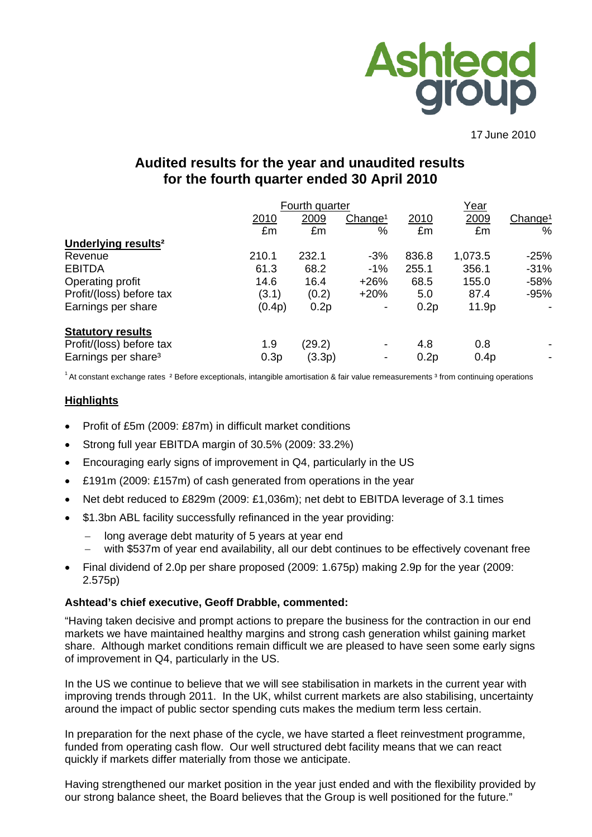

17 June 2010

# **Audited results for the year and unaudited results for the fourth quarter ended 30 April 2010**

|                                 |        | Fourth quarter |                     |       | <u>Year</u> |                     |  |
|---------------------------------|--------|----------------|---------------------|-------|-------------|---------------------|--|
|                                 | 2010   | 2009           | Change <sup>1</sup> | 2010  | 2009        | Change <sup>1</sup> |  |
|                                 | £m     | £m             | %                   | £m    | £m          | %                   |  |
| Underlying results <sup>2</sup> |        |                |                     |       |             |                     |  |
| Revenue                         | 210.1  | 232.1          | $-3%$               | 836.8 | 1,073.5     | $-25%$              |  |
| <b>EBITDA</b>                   | 61.3   | 68.2           | $-1%$               | 255.1 | 356.1       | $-31%$              |  |
| Operating profit                | 14.6   | 16.4           | $+26%$              | 68.5  | 155.0       | $-58%$              |  |
| Profit/(loss) before tax        | (3.1)  | (0.2)          | $+20%$              | 5.0   | 87.4        | $-95%$              |  |
| Earnings per share              | (0.4p) | 0.2p           |                     | 0.2p  | 11.9p       |                     |  |
| <b>Statutory results</b>        |        |                |                     |       |             |                     |  |
| Profit/(loss) before tax        | 1.9    | (29.2)         |                     | 4.8   | 0.8         |                     |  |
| Earnings per share <sup>3</sup> | 0.3p   | (3.3p)         |                     | 0.2p  | 0.4p        |                     |  |

 $1$  At constant exchange rates  $2$  Before exceptionals, intangible amortisation & fair value remeasurements  $3$  from continuing operations

### **Highlights**

- Profit of £5m (2009: £87m) in difficult market conditions
- Strong full year EBITDA margin of 30.5% (2009: 33.2%)
- Encouraging early signs of improvement in Q4, particularly in the US
- £191m (2009: £157m) of cash generated from operations in the year
- Net debt reduced to £829m (2009: £1,036m); net debt to EBITDA leverage of 3.1 times
- \$1.3bn ABL facility successfully refinanced in the year providing:
	- long average debt maturity of 5 years at year end
	- with \$537m of year end availability, all our debt continues to be effectively covenant free
- Final dividend of 2.0p per share proposed (2009: 1.675p) making 2.9p for the year (2009: 2.575p)

#### **Ashtead's chief executive, Geoff Drabble, commented:**

"Having taken decisive and prompt actions to prepare the business for the contraction in our end markets we have maintained healthy margins and strong cash generation whilst gaining market share. Although market conditions remain difficult we are pleased to have seen some early signs of improvement in Q4, particularly in the US.

In the US we continue to believe that we will see stabilisation in markets in the current year with improving trends through 2011. In the UK, whilst current markets are also stabilising, uncertainty around the impact of public sector spending cuts makes the medium term less certain.

In preparation for the next phase of the cycle, we have started a fleet reinvestment programme, funded from operating cash flow. Our well structured debt facility means that we can react quickly if markets differ materially from those we anticipate.

Having strengthened our market position in the year just ended and with the flexibility provided by our strong balance sheet, the Board believes that the Group is well positioned for the future."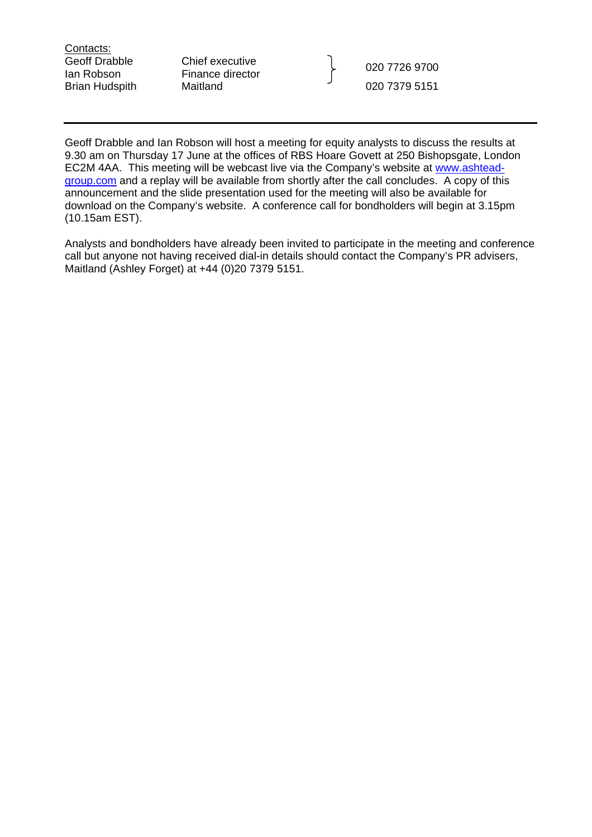Contacts:<br>Geoff Drabble

Chief executive

Ian Robson Finance director 020 7726 9700 Brian Hudspith Maitland 1980 120 1379 5151

Geoff Drabble and Ian Robson will host a meeting for equity analysts to discuss the results at 9.30 am on Thursday 17 June at the offices of RBS Hoare Govett at 250 Bishopsgate, London EC2M 4AA. This meeting will be webcast live via the Company's website at [www.ashtead](http://www.ashtead-group.com/)[group.com](http://www.ashtead-group.com/) and a replay will be available from shortly after the call concludes. A copy of this announcement and the slide presentation used for the meeting will also be available for download on the Company's website. A conference call for bondholders will begin at 3.15pm (10.15am EST).

Analysts and bondholders have already been invited to participate in the meeting and conference call but anyone not having received dial-in details should contact the Company's PR advisers, Maitland (Ashley Forget) at +44 (0)20 7379 5151.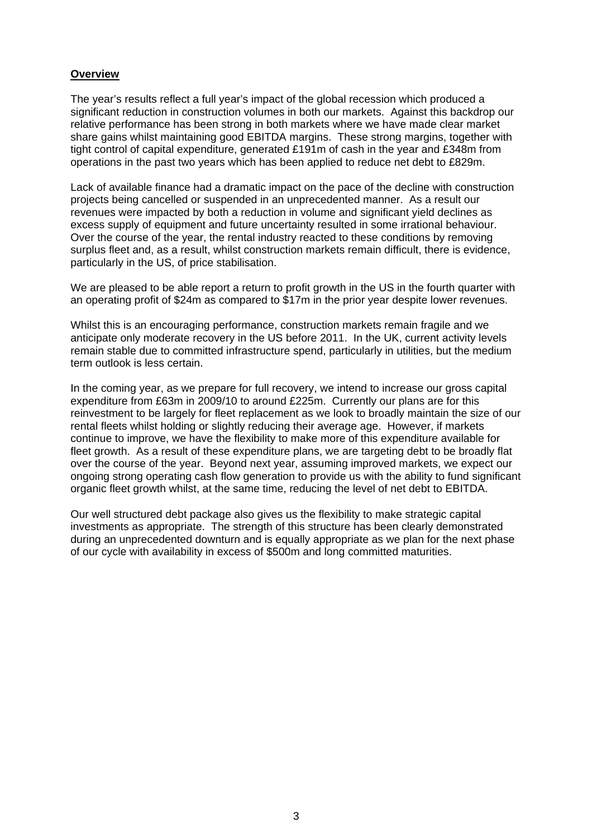## **Overview**

The year's results reflect a full year's impact of the global recession which produced a significant reduction in construction volumes in both our markets. Against this backdrop our relative performance has been strong in both markets where we have made clear market share gains whilst maintaining good EBITDA margins. These strong margins, together with tight control of capital expenditure, generated £191m of cash in the year and £348m from operations in the past two years which has been applied to reduce net debt to £829m.

Lack of available finance had a dramatic impact on the pace of the decline with construction projects being cancelled or suspended in an unprecedented manner. As a result our revenues were impacted by both a reduction in volume and significant yield declines as excess supply of equipment and future uncertainty resulted in some irrational behaviour. Over the course of the year, the rental industry reacted to these conditions by removing surplus fleet and, as a result, whilst construction markets remain difficult, there is evidence, particularly in the US, of price stabilisation.

We are pleased to be able report a return to profit growth in the US in the fourth quarter with an operating profit of \$24m as compared to \$17m in the prior year despite lower revenues.

Whilst this is an encouraging performance, construction markets remain fragile and we anticipate only moderate recovery in the US before 2011. In the UK, current activity levels remain stable due to committed infrastructure spend, particularly in utilities, but the medium term outlook is less certain.

In the coming year, as we prepare for full recovery, we intend to increase our gross capital expenditure from £63m in 2009/10 to around £225m. Currently our plans are for this reinvestment to be largely for fleet replacement as we look to broadly maintain the size of our rental fleets whilst holding or slightly reducing their average age. However, if markets continue to improve, we have the flexibility to make more of this expenditure available for fleet growth. As a result of these expenditure plans, we are targeting debt to be broadly flat over the course of the year. Beyond next year, assuming improved markets, we expect our ongoing strong operating cash flow generation to provide us with the ability to fund significant organic fleet growth whilst, at the same time, reducing the level of net debt to EBITDA.

Our well structured debt package also gives us the flexibility to make strategic capital investments as appropriate. The strength of this structure has been clearly demonstrated during an unprecedented downturn and is equally appropriate as we plan for the next phase of our cycle with availability in excess of \$500m and long committed maturities.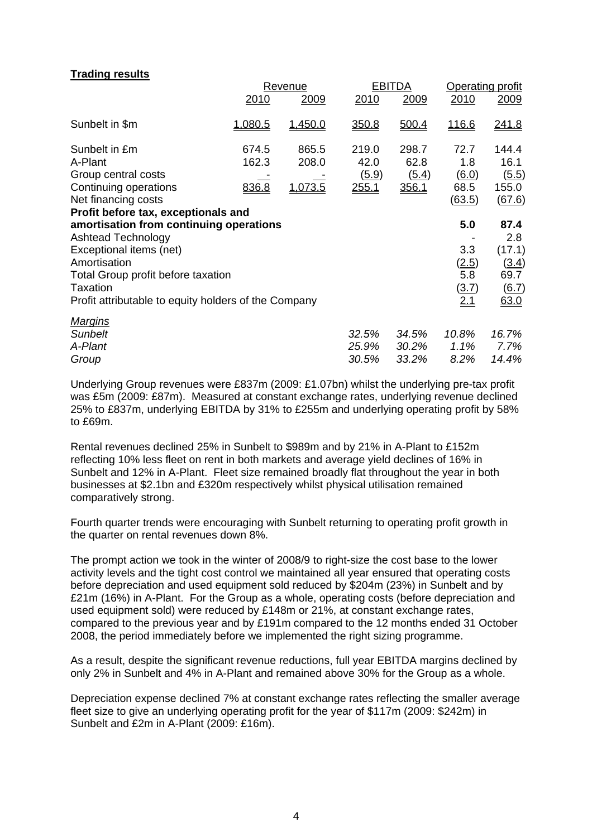## **Trading results**

|                                                      |         | Revenue |              | <b>EBITDA</b> |              | <b>Operating profit</b> |  |
|------------------------------------------------------|---------|---------|--------------|---------------|--------------|-------------------------|--|
|                                                      | 2010    | 2009    | 2010         | 2009          | 2010         | 2009                    |  |
| Sunbelt in \$m                                       | 1,080.5 | 1,450.0 | 350.8        | 500.4         | 116.6        | <u>241.8</u>            |  |
| Sunbelt in £m                                        | 674.5   | 865.5   | 219.0        | 298.7         | 72.7         | 144.4                   |  |
| A-Plant                                              | 162.3   | 208.0   | 42.0         | 62.8          | 1.8          | 16.1                    |  |
| Group central costs                                  |         |         | (5.9)        | (5.4)         | 6.0          | (5.5)                   |  |
| Continuing operations                                | 836.8   | 1,073.5 | <u>255.1</u> | 356.1         | 68.5         | 155.0                   |  |
| Net financing costs                                  |         |         |              |               | (63.5)       | (67.6)                  |  |
| Profit before tax, exceptionals and                  |         |         |              |               |              |                         |  |
| amortisation from continuing operations              |         |         |              |               | 5.0          | 87.4                    |  |
| <b>Ashtead Technology</b>                            |         |         |              |               |              | 2.8                     |  |
| Exceptional items (net)                              |         |         |              |               | 3.3          | (17.1)                  |  |
| Amortisation                                         |         |         |              |               | (2.5)        | (3.4)                   |  |
| Total Group profit before taxation                   |         |         |              |               | 5.8          | 69.7                    |  |
| <b>Taxation</b>                                      |         |         |              |               | <u>(3.7)</u> | 6.7)                    |  |
| Profit attributable to equity holders of the Company |         |         |              |               | 2.1          | 63.0                    |  |
| <u>Marqins</u>                                       |         |         |              |               |              |                         |  |
| <b>Sunbelt</b>                                       |         |         | 32.5%        | 34.5%         | 10.8%        | 16.7%                   |  |
| A-Plant                                              |         |         | 25.9%        | 30.2%         | 1.1%         | 7.7%                    |  |
| Group                                                |         |         | 30.5%        | 33.2%         | 8.2%         | 14.4%                   |  |

Underlying Group revenues were £837m (2009: £1.07bn) whilst the underlying pre-tax profit was £5m (2009: £87m). Measured at constant exchange rates, underlying revenue declined 25% to £837m, underlying EBITDA by 31% to £255m and underlying operating profit by 58% to £69m.

Rental revenues declined 25% in Sunbelt to \$989m and by 21% in A-Plant to £152m reflecting 10% less fleet on rent in both markets and average yield declines of 16% in Sunbelt and 12% in A-Plant. Fleet size remained broadly flat throughout the year in both businesses at \$2.1bn and £320m respectively whilst physical utilisation remained comparatively strong.

Fourth quarter trends were encouraging with Sunbelt returning to operating profit growth in the quarter on rental revenues down 8%.

The prompt action we took in the winter of 2008/9 to right-size the cost base to the lower activity levels and the tight cost control we maintained all year ensured that operating costs before depreciation and used equipment sold reduced by \$204m (23%) in Sunbelt and by £21m (16%) in A-Plant. For the Group as a whole, operating costs (before depreciation and used equipment sold) were reduced by £148m or 21%, at constant exchange rates, compared to the previous year and by £191m compared to the 12 months ended 31 October 2008, the period immediately before we implemented the right sizing programme.

As a result, despite the significant revenue reductions, full year EBITDA margins declined by only 2% in Sunbelt and 4% in A-Plant and remained above 30% for the Group as a whole.

Depreciation expense declined 7% at constant exchange rates reflecting the smaller average fleet size to give an underlying operating profit for the year of \$117m (2009: \$242m) in Sunbelt and £2m in A-Plant (2009: £16m).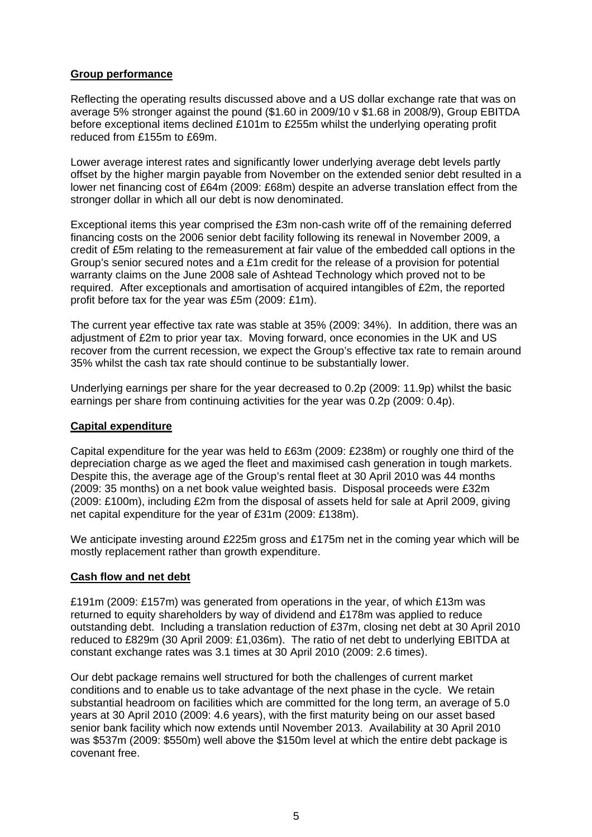# **Group performance**

Reflecting the operating results discussed above and a US dollar exchange rate that was on average 5% stronger against the pound (\$1.60 in 2009/10 v \$1.68 in 2008/9), Group EBITDA before exceptional items declined £101m to £255m whilst the underlying operating profit reduced from £155m to £69m.

Lower average interest rates and significantly lower underlying average debt levels partly offset by the higher margin payable from November on the extended senior debt resulted in a lower net financing cost of £64m (2009: £68m) despite an adverse translation effect from the stronger dollar in which all our debt is now denominated.

Exceptional items this year comprised the £3m non-cash write off of the remaining deferred financing costs on the 2006 senior debt facility following its renewal in November 2009, a credit of £5m relating to the remeasurement at fair value of the embedded call options in the Group's senior secured notes and a £1m credit for the release of a provision for potential warranty claims on the June 2008 sale of Ashtead Technology which proved not to be required. After exceptionals and amortisation of acquired intangibles of £2m, the reported profit before tax for the year was £5m (2009: £1m).

The current year effective tax rate was stable at 35% (2009: 34%). In addition, there was an adjustment of £2m to prior year tax. Moving forward, once economies in the UK and US recover from the current recession, we expect the Group's effective tax rate to remain around 35% whilst the cash tax rate should continue to be substantially lower.

Underlying earnings per share for the year decreased to 0.2p (2009: 11.9p) whilst the basic earnings per share from continuing activities for the year was 0.2p (2009: 0.4p).

### **Capital expenditure**

Capital expenditure for the year was held to £63m (2009: £238m) or roughly one third of the depreciation charge as we aged the fleet and maximised cash generation in tough markets. Despite this, the average age of the Group's rental fleet at 30 April 2010 was 44 months (2009: 35 months) on a net book value weighted basis. Disposal proceeds were £32m (2009: £100m), including £2m from the disposal of assets held for sale at April 2009, giving net capital expenditure for the year of £31m (2009: £138m).

We anticipate investing around £225m gross and £175m net in the coming year which will be mostly replacement rather than growth expenditure.

### **Cash flow and net debt**

£191m (2009: £157m) was generated from operations in the year, of which £13m was returned to equity shareholders by way of dividend and £178m was applied to reduce outstanding debt. Including a translation reduction of £37m, closing net debt at 30 April 2010 reduced to £829m (30 April 2009: £1,036m). The ratio of net debt to underlying EBITDA at constant exchange rates was 3.1 times at 30 April 2010 (2009: 2.6 times).

Our debt package remains well structured for both the challenges of current market conditions and to enable us to take advantage of the next phase in the cycle. We retain substantial headroom on facilities which are committed for the long term, an average of 5.0 years at 30 April 2010 (2009: 4.6 years), with the first maturity being on our asset based senior bank facility which now extends until November 2013. Availability at 30 April 2010 was \$537m (2009: \$550m) well above the \$150m level at which the entire debt package is covenant free.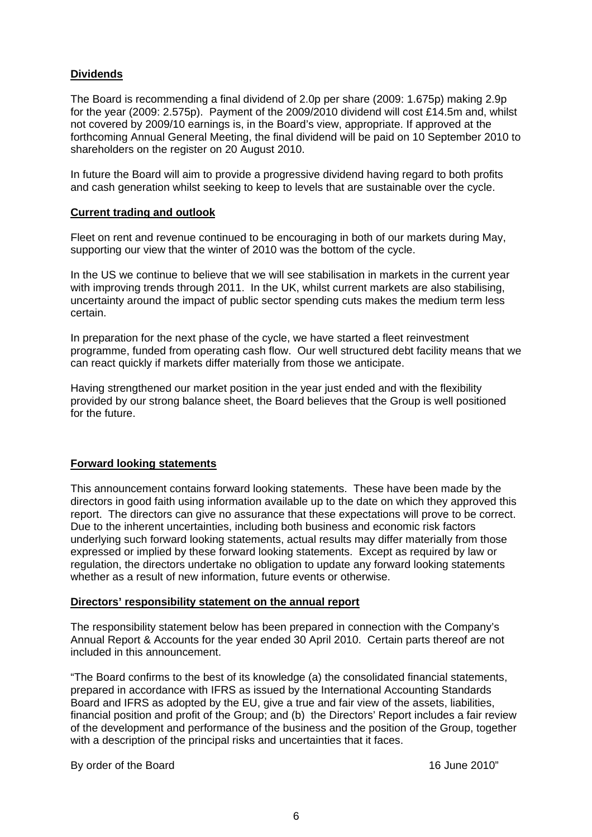# **Dividends**

The Board is recommending a final dividend of 2.0p per share (2009: 1.675p) making 2.9p for the year (2009: 2.575p). Payment of the 2009/2010 dividend will cost £14.5m and, whilst not covered by 2009/10 earnings is, in the Board's view, appropriate. If approved at the forthcoming Annual General Meeting, the final dividend will be paid on 10 September 2010 to shareholders on the register on 20 August 2010.

In future the Board will aim to provide a progressive dividend having regard to both profits and cash generation whilst seeking to keep to levels that are sustainable over the cycle.

#### **Current trading and outlook**

Fleet on rent and revenue continued to be encouraging in both of our markets during May, supporting our view that the winter of 2010 was the bottom of the cycle.

In the US we continue to believe that we will see stabilisation in markets in the current year with improving trends through 2011. In the UK, whilst current markets are also stabilising, uncertainty around the impact of public sector spending cuts makes the medium term less certain.

In preparation for the next phase of the cycle, we have started a fleet reinvestment programme, funded from operating cash flow. Our well structured debt facility means that we can react quickly if markets differ materially from those we anticipate.

Having strengthened our market position in the year just ended and with the flexibility provided by our strong balance sheet, the Board believes that the Group is well positioned for the future.

### **Forward looking statements**

This announcement contains forward looking statements. These have been made by the directors in good faith using information available up to the date on which they approved this report. The directors can give no assurance that these expectations will prove to be correct. Due to the inherent uncertainties, including both business and economic risk factors underlying such forward looking statements, actual results may differ materially from those expressed or implied by these forward looking statements. Except as required by law or regulation, the directors undertake no obligation to update any forward looking statements whether as a result of new information, future events or otherwise.

#### **Directors' responsibility statement on the annual report**

The responsibility statement below has been prepared in connection with the Company's Annual Report & Accounts for the year ended 30 April 2010. Certain parts thereof are not included in this announcement.

"The Board confirms to the best of its knowledge (a) the consolidated financial statements, prepared in accordance with IFRS as issued by the International Accounting Standards Board and IFRS as adopted by the EU, give a true and fair view of the assets, liabilities, financial position and profit of the Group; and (b) the Directors' Report includes a fair review of the development and performance of the business and the position of the Group, together with a description of the principal risks and uncertainties that it faces.

By order of the Board 16 June 2010"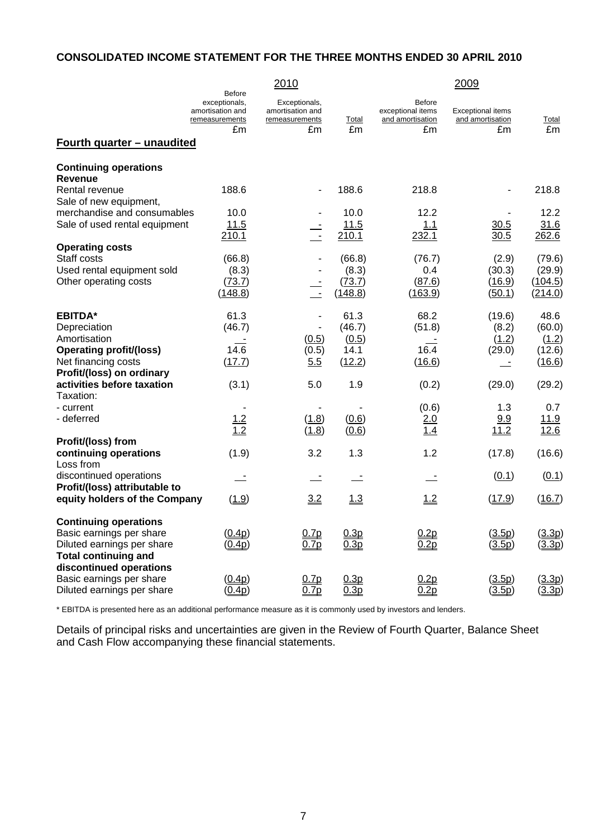# **CONSOLIDATED INCOME STATEMENT FOR THE THREE MONTHS ENDED 30 APRIL 2010**

|                                                          |                                                                      | 2010                                                |         |                                                 | 2009                                         |             |
|----------------------------------------------------------|----------------------------------------------------------------------|-----------------------------------------------------|---------|-------------------------------------------------|----------------------------------------------|-------------|
|                                                          | <b>Before</b><br>exceptionals,<br>amortisation and<br>remeasurements | Exceptionals,<br>amortisation and<br>remeasurements | Total   | Before<br>exceptional items<br>and amortisation | <b>Exceptional items</b><br>and amortisation | Total       |
|                                                          | £m                                                                   | £m                                                  | £m      | £m                                              | £m                                           | £m          |
| Fourth quarter - unaudited                               |                                                                      |                                                     |         |                                                 |                                              |             |
| <b>Continuing operations</b><br><b>Revenue</b>           |                                                                      |                                                     |         |                                                 |                                              |             |
| Rental revenue                                           | 188.6                                                                |                                                     | 188.6   | 218.8                                           |                                              | 218.8       |
| Sale of new equipment,                                   |                                                                      |                                                     |         |                                                 |                                              |             |
| merchandise and consumables                              | 10.0                                                                 |                                                     | 10.0    | 12.2                                            |                                              | 12.2        |
| Sale of used rental equipment                            | 11.5                                                                 | $\frac{1}{\sqrt{2}}$                                | 11.5    | 1.1                                             | 30.5                                         | 31.6        |
|                                                          | 210.1                                                                |                                                     | 210.1   | 232.1                                           | 30.5                                         | 262.6       |
| <b>Operating costs</b>                                   |                                                                      |                                                     |         |                                                 |                                              |             |
| Staff costs                                              | (66.8)                                                               |                                                     | (66.8)  | (76.7)                                          | (2.9)                                        | (79.6)      |
| Used rental equipment sold                               | (8.3)                                                                |                                                     | (8.3)   | 0.4                                             | (30.3)                                       | (29.9)      |
| Other operating costs                                    | (73.7)                                                               | $\frac{1}{\pi}$                                     | (73.7)  | (87.6)                                          | (16.9)                                       | (104.5)     |
|                                                          | (148.8)                                                              |                                                     | (148.8) | (163.9)                                         | (50.1)                                       | (214.0)     |
| <b>EBITDA*</b>                                           | 61.3                                                                 | ÷,                                                  | 61.3    | 68.2                                            | (19.6)                                       | 48.6        |
| Depreciation                                             | (46.7)                                                               | ä,                                                  | (46.7)  | (51.8)                                          | (8.2)                                        | (60.0)      |
| Amortisation                                             |                                                                      | (0.5)                                               | (0.5)   |                                                 | (1.2)                                        | (1.2)       |
| <b>Operating profit/(loss)</b>                           | 14.6                                                                 | (0.5)                                               | 14.1    | 16.4                                            | (29.0)                                       | (12.6)      |
| Net financing costs                                      | (17.7)                                                               | 5.5                                                 | (12.2)  | (16.6)                                          |                                              | (16.6)      |
| Profit/(loss) on ordinary                                |                                                                      |                                                     |         |                                                 |                                              |             |
| activities before taxation                               | (3.1)                                                                | 5.0                                                 | 1.9     | (0.2)                                           | (29.0)                                       | (29.2)      |
| Taxation:                                                |                                                                      |                                                     |         |                                                 |                                              |             |
| - current                                                |                                                                      |                                                     |         | (0.6)                                           | 1.3                                          | 0.7         |
| - deferred                                               | 1.2                                                                  | (1.8)                                               | (0.6)   | 2.0                                             | 9.9                                          | <u>11.9</u> |
|                                                          | $\overline{1.2}$                                                     | (1.8)                                               | (0.6)   | 1.4                                             | 11.2                                         | 12.6        |
| Profit/(loss) from                                       |                                                                      |                                                     |         |                                                 |                                              |             |
| continuing operations<br>Loss from                       | (1.9)                                                                | 3.2                                                 | 1.3     | 1.2                                             | (17.8)                                       | (16.6)      |
| discontinued operations<br>Profit/(loss) attributable to | $\equiv$                                                             | $\overline{\phantom{a}}$                            |         |                                                 | (0.1)                                        | (0.1)       |
| equity holders of the Company                            | (1.9)                                                                | 3.2                                                 | 1.3     | 1.2                                             | (17.9)                                       | (16.7)      |
| <b>Continuing operations</b>                             |                                                                      |                                                     |         |                                                 |                                              |             |
| Basic earnings per share                                 | (0.4p)                                                               | 0.7p                                                | 0.3p    | 0.2p                                            | (3.5p)                                       | (3.3p)      |
| Diluted earnings per share                               | (0.4p)                                                               | 0.7p                                                | 0.3p    | 0.2p                                            | (3.5p)                                       | (3.3p)      |
| <b>Total continuing and</b>                              |                                                                      |                                                     |         |                                                 |                                              |             |
| discontinued operations                                  |                                                                      |                                                     |         |                                                 |                                              |             |
| Basic earnings per share                                 | (0.4p)                                                               | 0.7p                                                | 0.3p    | 0.2p                                            | (3.5p)                                       | (3.3p)      |
| Diluted earnings per share                               | (0.4p)                                                               | 0.7p                                                | 0.3p    | 0.2p                                            | (3.5p)                                       | (3.3p)      |

\* EBITDA is presented here as an additional performance measure as it is commonly used by investors and lenders.

Details of principal risks and uncertainties are given in the Review of Fourth Quarter, Balance Sheet and Cash Flow accompanying these financial statements.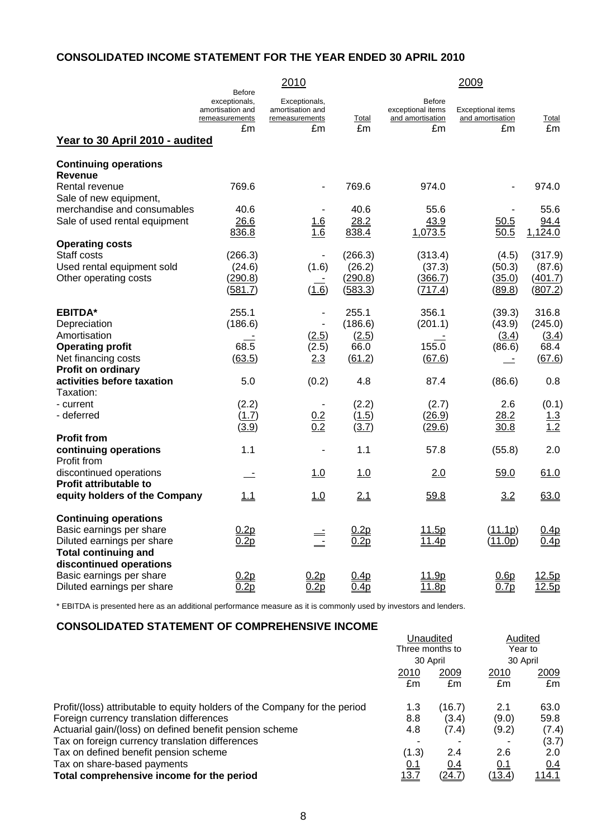# **CONSOLIDATED INCOME STATEMENT FOR THE YEAR ENDED 30 APRIL 2010**

|                                                |                                                                      | 2010                                                |                  |                                                        | 2009                                         |                  |
|------------------------------------------------|----------------------------------------------------------------------|-----------------------------------------------------|------------------|--------------------------------------------------------|----------------------------------------------|------------------|
|                                                | <b>Before</b><br>exceptionals,<br>amortisation and<br>remeasurements | Exceptionals,<br>amortisation and<br>remeasurements | Total            | <b>Before</b><br>exceptional items<br>and amortisation | <b>Exceptional items</b><br>and amortisation | Total            |
| Year to 30 April 2010 - audited                | £m                                                                   | £m                                                  | £m               | £m                                                     | £m                                           | £m               |
|                                                |                                                                      |                                                     |                  |                                                        |                                              |                  |
| <b>Continuing operations</b><br><b>Revenue</b> |                                                                      |                                                     |                  |                                                        |                                              |                  |
| Rental revenue                                 | 769.6                                                                |                                                     | 769.6            | 974.0                                                  |                                              | 974.0            |
| Sale of new equipment,                         |                                                                      |                                                     |                  |                                                        |                                              |                  |
| merchandise and consumables                    | 40.6                                                                 |                                                     | 40.6             | 55.6                                                   |                                              | 55.6             |
| Sale of used rental equipment                  | 26.6                                                                 | 1.6                                                 | 28.2             | 43.9                                                   | 50.5                                         | 94.4             |
|                                                | 836.8                                                                | 1.6                                                 | 838.4            | 1,073.5                                                | 50.5                                         | 1,124.0          |
| <b>Operating costs</b>                         |                                                                      |                                                     |                  |                                                        |                                              |                  |
| Staff costs                                    | (266.3)                                                              |                                                     | (266.3)          | (313.4)                                                | (4.5)                                        | (317.9)          |
| Used rental equipment sold                     | (24.6)                                                               | (1.6)                                               | (26.2)           | (37.3)                                                 | (50.3)                                       | (87.6)           |
| Other operating costs                          | (290.8)                                                              |                                                     | (290.8)          | (366.7)                                                | (35.0)                                       | (401.7)          |
|                                                | (581.7)                                                              | (1.6)                                               | (583.3)          | (717.4)                                                | (89.8)                                       | (807.2)          |
|                                                |                                                                      |                                                     |                  |                                                        |                                              |                  |
| <b>EBITDA*</b>                                 | 255.1                                                                | $\blacksquare$                                      | 255.1            | 356.1                                                  | (39.3)                                       | 316.8            |
| Depreciation                                   | (186.6)                                                              | ä,                                                  | (186.6)          | (201.1)                                                | (43.9)                                       | (245.0)          |
| Amortisation                                   |                                                                      | (2.5)                                               | (2.5)            |                                                        | (3.4)                                        | (3.4)            |
| <b>Operating profit</b>                        | 68.5                                                                 | (2.5)                                               | 66.0             | 155.0                                                  | (86.6)                                       | 68.4             |
| Net financing costs                            | (63.5)                                                               | 2.3                                                 | (61.2)           | (67.6)                                                 | $\equiv$                                     | (67.6)           |
| Profit on ordinary                             |                                                                      |                                                     |                  |                                                        |                                              |                  |
| activities before taxation                     | 5.0                                                                  | (0.2)                                               | 4.8              | 87.4                                                   | (86.6)                                       | 0.8              |
| Taxation:                                      |                                                                      |                                                     |                  |                                                        |                                              |                  |
| - current                                      | (2.2)                                                                |                                                     | (2.2)            | (2.7)                                                  | 2.6                                          | (0.1)            |
| - deferred                                     | (1.7)                                                                | 0.2                                                 | (1.5)            | (26.9)                                                 | 28.2                                         | 1.3              |
|                                                | (3.9)                                                                | 0.2                                                 | (3.7)            | (29.6)                                                 | 30.8                                         | 1.2              |
| <b>Profit from</b>                             |                                                                      |                                                     |                  |                                                        |                                              |                  |
| continuing operations                          | 1.1                                                                  |                                                     | 1.1              | 57.8                                                   | (55.8)                                       | 2.0              |
| Profit from                                    |                                                                      |                                                     |                  |                                                        |                                              |                  |
| discontinued operations                        | $\sim$ $-$                                                           | 1.0                                                 | 1.0              | 2.0                                                    | 59.0                                         | 61.0             |
| Profit attributable to                         |                                                                      |                                                     |                  |                                                        |                                              |                  |
| equity holders of the Company                  | 1.1                                                                  | <u>1.0</u>                                          | 2.1              | 59.8                                                   | 3.2                                          | 63.0             |
| <b>Continuing operations</b>                   |                                                                      |                                                     |                  |                                                        |                                              |                  |
| Basic earnings per share                       | 0.2p                                                                 |                                                     | 0.2p             | 11.5p                                                  | (11.1p)                                      | 0.4p             |
| Diluted earnings per share                     | 0.2p                                                                 | $\equiv$<br>$\equiv$                                | 0.2p             | 11.4p                                                  | (11.0p)                                      | 0.4 <sub>p</sub> |
| <b>Total continuing and</b>                    |                                                                      |                                                     |                  |                                                        |                                              |                  |
| discontinued operations                        |                                                                      |                                                     |                  |                                                        |                                              |                  |
| Basic earnings per share                       | 0.2p                                                                 | 0.2p                                                | 0.4p             | 11.9p                                                  | 0.6p                                         | 12.5p            |
| Diluted earnings per share                     | 0.2p                                                                 | 0.2 <sub>p</sub>                                    | 0.4 <sub>p</sub> | 11.8p                                                  | 0.7p                                         | 12.5p            |

\* EBITDA is presented here as an additional performance measure as it is commonly used by investors and lenders.

# **CONSOLIDATED STATEMENT OF COMPREHENSIVE INCOME**

| <u>UURUULIDATED UTATEMENT UL</u><br><u>UUMI NEHENJIVE INUUME</u>           |                                          |        |                    |               |
|----------------------------------------------------------------------------|------------------------------------------|--------|--------------------|---------------|
|                                                                            | Unaudited<br>Three months to<br>30 April |        | Audited<br>Year to |               |
|                                                                            |                                          |        |                    |               |
|                                                                            |                                          |        | 30 April           |               |
|                                                                            | 2010                                     | 2009   | 2010               | 2009          |
|                                                                            | £m                                       | £m     | £m                 | £m            |
| Profit/(loss) attributable to equity holders of the Company for the period | 1.3                                      | (16.7) | 2.1                | 63.0          |
| Foreign currency translation differences                                   | 8.8                                      | (3.4)  | (9.0)              | 59.8          |
| Actuarial gain/(loss) on defined benefit pension scheme                    | 4.8                                      | (7.4)  | (9.2)              | (7.4)         |
| Tax on foreign currency translation differences                            |                                          |        |                    | (3.7)         |
| Tax on defined benefit pension scheme                                      | (1.3)                                    | 2.4    | 2.6                | 2.0           |
| Tax on share-based payments                                                | 0.1                                      | 0.4    | 0.1                | 0.4           |
| Total comprehensive income for the period                                  | 13.7                                     | (24.7) | (13.4)             | <u> 114.1</u> |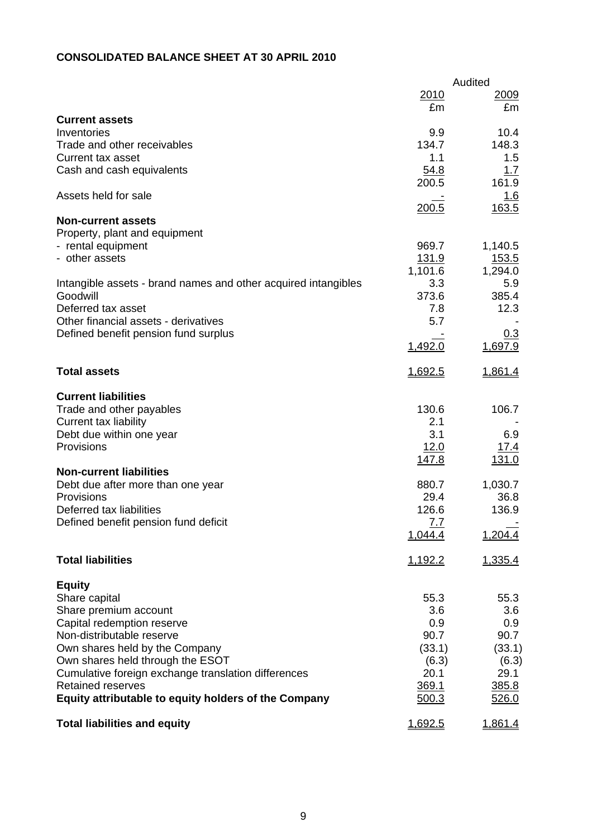# **CONSOLIDATED BALANCE SHEET AT 30 APRIL 2010**

|                                                                |              | Audited        |
|----------------------------------------------------------------|--------------|----------------|
|                                                                | 2010         | <u>2009</u>    |
|                                                                | £m           | £m             |
| <b>Current assets</b><br>Inventories                           | 9.9          | 10.4           |
| Trade and other receivables                                    | 134.7        | 148.3          |
| <b>Current tax asset</b>                                       | 1.1          | 1.5            |
| Cash and cash equivalents                                      | 54.8         | 1.7            |
|                                                                | 200.5        | 161.9          |
| Assets held for sale                                           |              | 1.6            |
|                                                                | 200.5        | 163.5          |
| <b>Non-current assets</b>                                      |              |                |
| Property, plant and equipment                                  |              |                |
| - rental equipment                                             | 969.7        | 1,140.5        |
| - other assets                                                 | 131.9        | <u> 153.5</u>  |
|                                                                | 1,101.6      | 1,294.0        |
| Intangible assets - brand names and other acquired intangibles | 3.3          | 5.9            |
| Goodwill                                                       | 373.6        | 385.4          |
| Deferred tax asset                                             | 7.8          | 12.3           |
| Other financial assets - derivatives                           | 5.7          |                |
| Defined benefit pension fund surplus                           |              | <u>0.3</u>     |
|                                                                | 1,492.0      | 1,697.9        |
| <b>Total assets</b>                                            | 1,692.5      | 1,861.4        |
|                                                                |              |                |
| <b>Current liabilities</b>                                     |              |                |
| Trade and other payables                                       | 130.6        | 106.7          |
| <b>Current tax liability</b>                                   | 2.1          |                |
| Debt due within one year                                       | 3.1          | 6.9            |
| Provisions                                                     | 12.0         | 17.4           |
|                                                                | <u>147.8</u> | 131.0          |
| <b>Non-current liabilities</b>                                 |              |                |
| Debt due after more than one year                              | 880.7        | 1,030.7        |
| Provisions                                                     | 29.4         | 36.8           |
| Deferred tax liabilities                                       | 126.6        | 136.9          |
| Defined benefit pension fund deficit                           | <u>7.7</u>   |                |
|                                                                | 1,044.4      | 1,204.4        |
| <b>Total liabilities</b>                                       | 1,192.2      | 1,335.4        |
|                                                                |              |                |
| <b>Equity</b>                                                  |              |                |
| Share capital                                                  | 55.3         | 55.3           |
| Share premium account                                          | 3.6          | 3.6            |
| Capital redemption reserve                                     | 0.9          | 0.9            |
| Non-distributable reserve                                      | 90.7         | 90.7           |
| Own shares held by the Company                                 | (33.1)       | (33.1)         |
| Own shares held through the ESOT                               | (6.3)        | (6.3)          |
| Cumulative foreign exchange translation differences            | 20.1         | 29.1           |
| <b>Retained reserves</b>                                       | 369.1        | 385.8          |
| Equity attributable to equity holders of the Company           | 500.3        | 526.0          |
| <b>Total liabilities and equity</b>                            | 1,692.5      | <u>1,861.4</u> |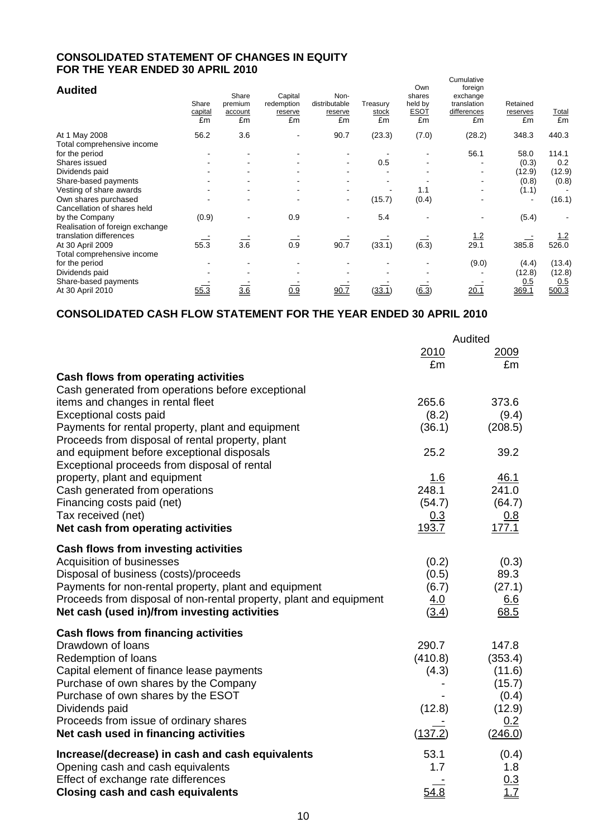# **CONSOLIDATED STATEMENT OF CHANGES IN EQUITY FOR THE YEAR ENDED 30 APRIL 2010**

| <b>Audited</b>                  | Share<br>capital<br>£m | Share<br>premium<br>account<br>£m | Capital<br>redemption<br>reserve<br>£m | Non-<br>distributable<br>reserve<br>£m | Treasury<br><b>stock</b><br>£m | Own<br>shares<br>held by<br><b>ESOT</b><br>£m | Cumulative<br>foreign<br>exchange<br>translation<br>differences<br>£m | Retained<br>reserves<br>£m | <b>Total</b><br>£m |
|---------------------------------|------------------------|-----------------------------------|----------------------------------------|----------------------------------------|--------------------------------|-----------------------------------------------|-----------------------------------------------------------------------|----------------------------|--------------------|
| At 1 May 2008                   | 56.2                   | 3.6                               |                                        | 90.7                                   | (23.3)                         | (7.0)                                         | (28.2)                                                                | 348.3                      | 440.3              |
| Total comprehensive income      |                        |                                   |                                        |                                        |                                |                                               |                                                                       |                            |                    |
| for the period                  |                        |                                   |                                        |                                        |                                |                                               | 56.1                                                                  | 58.0                       | 114.1              |
| Shares issued                   |                        |                                   |                                        | ٠                                      | 0.5                            |                                               |                                                                       | (0.3)                      | 0.2                |
| Dividends paid                  |                        |                                   |                                        |                                        |                                |                                               |                                                                       | (12.9)                     | (12.9)             |
| Share-based payments            |                        |                                   |                                        |                                        |                                |                                               |                                                                       | (0.8)                      | (0.8)              |
| Vesting of share awards         |                        |                                   |                                        |                                        |                                | 1.1                                           |                                                                       | (1.1)                      |                    |
| Own shares purchased            |                        |                                   |                                        | $\blacksquare$                         | (15.7)                         | (0.4)                                         |                                                                       |                            | (16.1)             |
| Cancellation of shares held     |                        |                                   |                                        |                                        |                                |                                               |                                                                       |                            |                    |
| by the Company                  | (0.9)                  |                                   | 0.9                                    |                                        | 5.4                            |                                               |                                                                       | (5.4)                      |                    |
| Realisation of foreign exchange |                        |                                   |                                        |                                        |                                |                                               |                                                                       |                            |                    |
| translation differences         |                        |                                   |                                        |                                        |                                |                                               | $\frac{1.2}{29.1}$                                                    |                            | <u>1.2</u>         |
| At 30 April 2009                | 55.3                   | 3.6                               | 0.9                                    | 90.7                                   | (33.1)                         | (6.3)                                         |                                                                       | 385.8                      | 526.0              |
| Total comprehensive income      |                        |                                   |                                        |                                        |                                |                                               |                                                                       |                            |                    |
| for the period                  |                        |                                   |                                        |                                        |                                |                                               | (9.0)                                                                 | (4.4)                      | (13.4)             |
| Dividends paid                  |                        |                                   |                                        |                                        |                                |                                               |                                                                       | (12.8)                     | (12.8)             |
| Share-based payments            |                        |                                   |                                        |                                        |                                |                                               |                                                                       | 0.5                        | 0.5                |
| At 30 April 2010                | 55.3                   | 3.6                               | 0.9                                    | 90.7                                   | <u>(33.1)</u>                  | (6.3)                                         | <u>20.1</u>                                                           | 369.1                      | 500.3              |

# **CONSOLIDATED CASH FLOW STATEMENT FOR THE YEAR ENDED 30 APRIL 2010**

|                                                                    |         | Audited           |
|--------------------------------------------------------------------|---------|-------------------|
|                                                                    | 2010    | 2009              |
|                                                                    | £m      | £m                |
| <b>Cash flows from operating activities</b>                        |         |                   |
| Cash generated from operations before exceptional                  | 265.6   | 373.6             |
| items and changes in rental fleet<br>Exceptional costs paid        | (8.2)   | (9.4)             |
| Payments for rental property, plant and equipment                  | (36.1)  | (208.5)           |
| Proceeds from disposal of rental property, plant                   |         |                   |
| and equipment before exceptional disposals                         | 25.2    | 39.2              |
| Exceptional proceeds from disposal of rental                       |         |                   |
| property, plant and equipment                                      | 1.6     | 46.1              |
| Cash generated from operations                                     | 248.1   | 241.0             |
| Financing costs paid (net)                                         | (54.7)  | (64.7)            |
| Tax received (net)                                                 | 0.3     | <u>0.8</u>        |
| Net cash from operating activities                                 | 193.7   | 177.1             |
| <b>Cash flows from investing activities</b>                        |         |                   |
| Acquisition of businesses                                          | (0.2)   | (0.3)             |
| Disposal of business (costs)/proceeds                              | (0.5)   | 89.3              |
| Payments for non-rental property, plant and equipment              | (6.7)   | (27.1)            |
| Proceeds from disposal of non-rental property, plant and equipment | 4.0     | 6.6               |
| Net cash (used in)/from investing activities                       | (3.4)   | 68.5              |
| <b>Cash flows from financing activities</b>                        |         |                   |
| Drawdown of loans                                                  | 290.7   | 147.8             |
| Redemption of loans                                                | (410.8) | (353.4)           |
| Capital element of finance lease payments                          | (4.3)   | (11.6)            |
| Purchase of own shares by the Company                              |         | (15.7)            |
| Purchase of own shares by the ESOT<br>Dividends paid               | (12.8)  | (0.4)<br>(12.9)   |
| Proceeds from issue of ordinary shares                             |         | 0.2               |
| Net cash used in financing activities                              | (137.2) | (246.0)           |
| Increase/(decrease) in cash and cash equivalents                   | 53.1    | (0.4)             |
| Opening cash and cash equivalents                                  | 1.7     | 1.8               |
| Effect of exchange rate differences                                |         | $\frac{0.3}{1.7}$ |
| <b>Closing cash and cash equivalents</b>                           | 54.8    |                   |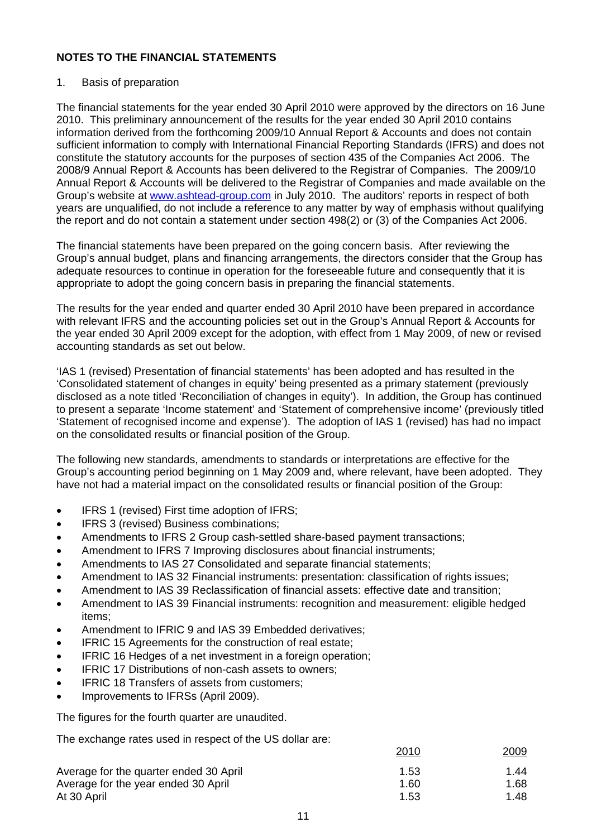# 1. Basis of preparation

The financial statements for the year ended 30 April 2010 were approved by the directors on 16 June 2010. This preliminary announcement of the results for the year ended 30 April 2010 contains information derived from the forthcoming 2009/10 Annual Report & Accounts and does not contain sufficient information to comply with International Financial Reporting Standards (IFRS) and does not constitute the statutory accounts for the purposes of section 435 of the Companies Act 2006. The 2008/9 Annual Report & Accounts has been delivered to the Registrar of Companies. The 2009/10 Annual Report & Accounts will be delivered to the Registrar of Companies and made available on the Group's website at [www.ashtead-group.com](http://www.ashtead-group.com/) in July 2010. The auditors' reports in respect of both years are unqualified, do not include a reference to any matter by way of emphasis without qualifying the report and do not contain a statement under section 498(2) or (3) of the Companies Act 2006.

The financial statements have been prepared on the going concern basis. After reviewing the Group's annual budget, plans and financing arrangements, the directors consider that the Group has adequate resources to continue in operation for the foreseeable future and consequently that it is appropriate to adopt the going concern basis in preparing the financial statements.

The results for the year ended and quarter ended 30 April 2010 have been prepared in accordance with relevant IFRS and the accounting policies set out in the Group's Annual Report & Accounts for the year ended 30 April 2009 except for the adoption, with effect from 1 May 2009, of new or revised accounting standards as set out below.

'IAS 1 (revised) Presentation of financial statements' has been adopted and has resulted in the 'Consolidated statement of changes in equity' being presented as a primary statement (previously disclosed as a note titled 'Reconciliation of changes in equity'). In addition, the Group has continued to present a separate 'Income statement' and 'Statement of comprehensive income' (previously titled 'Statement of recognised income and expense'). The adoption of IAS 1 (revised) has had no impact on the consolidated results or financial position of the Group.

The following new standards, amendments to standards or interpretations are effective for the Group's accounting period beginning on 1 May 2009 and, where relevant, have been adopted. They have not had a material impact on the consolidated results or financial position of the Group:

- IFRS 1 (revised) First time adoption of IFRS;
- IFRS 3 (revised) Business combinations;
- Amendments to IFRS 2 Group cash-settled share-based payment transactions;
- Amendment to IFRS 7 Improving disclosures about financial instruments;
- Amendments to IAS 27 Consolidated and separate financial statements;
- Amendment to IAS 32 Financial instruments: presentation: classification of rights issues;
- Amendment to IAS 39 Reclassification of financial assets: effective date and transition;
- Amendment to IAS 39 Financial instruments: recognition and measurement: eligible hedged items;
- Amendment to IFRIC 9 and IAS 39 Embedded derivatives;
- IFRIC 15 Agreements for the construction of real estate;
- **IFRIC 16 Hedges of a net investment in a foreign operation;**
- IFRIC 17 Distributions of non-cash assets to owners;
- IFRIC 18 Transfers of assets from customers;
- Improvements to IFRSs (April 2009).

The figures for the fourth quarter are unaudited.

The exchange rates used in respect of the US dollar are:

|                                        | 2010 | 2009 |
|----------------------------------------|------|------|
| Average for the quarter ended 30 April | 1.53 | 1.44 |
| Average for the year ended 30 April    | 1.60 | 1.68 |
| At 30 April                            | 1.53 | 1.48 |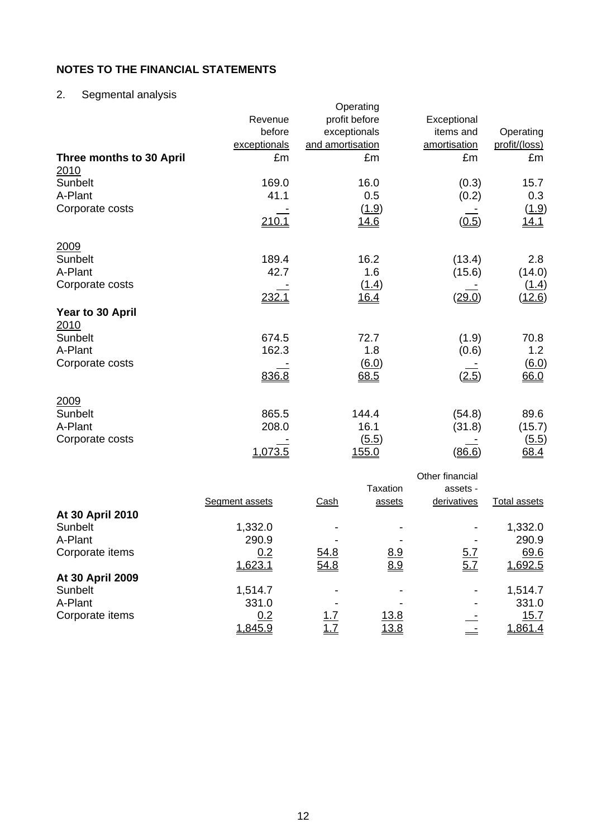2. Segmental analysis

|                          |              | Operating        |                 |               |
|--------------------------|--------------|------------------|-----------------|---------------|
|                          | Revenue      | profit before    | Exceptional     |               |
|                          | before       | exceptionals     | items and       | Operating     |
|                          | exceptionals | and amortisation | amortisation    | profit/(loss) |
| Three months to 30 April | £m           | £m               | £m              | £m            |
| 2010                     |              |                  |                 |               |
| Sunbelt                  | 169.0        | 16.0             | (0.3)           | 15.7          |
| A-Plant                  | 41.1         | 0.5              | (0.2)           | 0.3           |
| Corporate costs          |              | (1.9)            |                 | (1.9)         |
|                          | 210.1        | 14.6             | (0.5)           | <u>14.1</u>   |
|                          |              |                  |                 |               |
| 2009                     |              |                  |                 |               |
| Sunbelt                  | 189.4        | 16.2             | (13.4)          | 2.8           |
| A-Plant                  | 42.7         | 1.6              | (15.6)          | (14.0)        |
| Corporate costs          |              | (1.4)            |                 | (1.4)         |
|                          | 232.1        | 16.4             | (29.0)          | (12.6)        |
| Year to 30 April         |              |                  |                 |               |
| 2010                     |              |                  |                 |               |
| Sunbelt                  | 674.5        | 72.7             | (1.9)           | 70.8          |
| A-Plant                  | 162.3        | 1.8              | (0.6)           | 1.2           |
| Corporate costs          |              | (6.0)            |                 | 6.0           |
|                          | 836.8        | 68.5             | (2.5)           | 66.0          |
|                          |              |                  |                 |               |
| 2009                     |              |                  |                 |               |
| Sunbelt                  | 865.5        | 144.4            | (54.8)          | 89.6          |
| A-Plant                  | 208.0        | 16.1             | (31.8)          | (15.7)        |
| Corporate costs          |              | (5.5)            |                 | (5.5)         |
|                          | 1,073.5      | 155.0            | (86.6)          | 68.4          |
|                          |              |                  | Other financial |               |
|                          |              |                  |                 |               |

|                  |                |            | Taxation    | assets -    |              |
|------------------|----------------|------------|-------------|-------------|--------------|
|                  | Segment assets | Cash       | assets      | derivatives | Total assets |
| At 30 April 2010 |                |            |             |             |              |
| Sunbelt          | 1,332.0        | -          |             |             | 1,332.0      |
| A-Plant          | 290.9          |            |             |             | 290.9        |
| Corporate items  | 0.2            | 54.8       | <u>8.9</u>  | <u>5.7</u>  | 69.6         |
|                  | 1,623.1        | 54.8       | 8.9         | 5.7         | 1,692.5      |
| At 30 April 2009 |                |            |             |             |              |
| Sunbelt          | 1,514.7        |            |             |             | 1,514.7      |
| A-Plant          | 331.0          |            |             |             | 331.0        |
| Corporate items  | 0.2            | <u>1.7</u> | 13.8        |             | 15.7         |
|                  | <u>1,845.9</u> | <u>1.7</u> | <u>13.8</u> |             | 1,861.4      |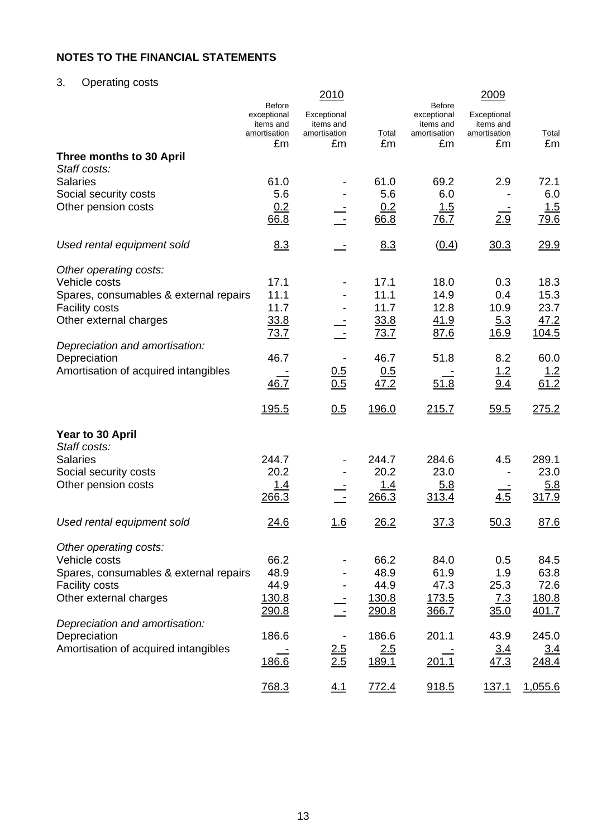# 3. Operating costs

|                                        |                              | 2010                      |                    |                              | 2009                      |                    |
|----------------------------------------|------------------------------|---------------------------|--------------------|------------------------------|---------------------------|--------------------|
|                                        | <b>Before</b><br>exceptional | Exceptional               |                    | <b>Before</b><br>exceptional | Exceptional               |                    |
|                                        | items and                    | items and                 |                    | items and                    | items and                 |                    |
|                                        | amortisation<br>£m           | <u>amortisation</u><br>£m | <b>Total</b><br>£m | amortisation<br>£m           | <u>amortisation</u><br>£m | <b>Total</b><br>£m |
| Three months to 30 April               |                              |                           |                    |                              |                           |                    |
| Staff costs:                           |                              |                           |                    |                              |                           |                    |
| <b>Salaries</b>                        | 61.0                         |                           | 61.0               | 69.2                         | 2.9                       | 72.1               |
| Social security costs                  | 5.6                          |                           | 5.6                | 6.0                          |                           | 6.0                |
| Other pension costs                    | 0.2                          |                           | 0.2                | 1.5                          |                           | 1.5                |
|                                        | 66.8                         |                           | 66.8               | 76.7                         | 2.9                       | 79.6               |
| Used rental equipment sold             | 8.3                          |                           | 8.3                | (0.4)                        | 30.3                      | 29.9               |
| Other operating costs:                 |                              |                           |                    |                              |                           |                    |
| Vehicle costs                          | 17.1                         |                           | 17.1               | 18.0                         | 0.3                       | 18.3               |
| Spares, consumables & external repairs | 11.1                         |                           | 11.1               | 14.9                         | 0.4                       | 15.3               |
| <b>Facility costs</b>                  | 11.7                         |                           | 11.7               | 12.8                         | 10.9                      | 23.7               |
| Other external charges                 | 33.8<br>73.7                 |                           | 33.8<br>73.7       | 41.9<br>87.6                 | 5.3<br><u>16.9</u>        | 47.2<br>104.5      |
| Depreciation and amortisation:         |                              |                           |                    |                              |                           |                    |
| Depreciation                           | 46.7                         |                           | 46.7               | 51.8                         | 8.2                       | 60.0               |
| Amortisation of acquired intangibles   |                              |                           | 0.5                |                              | 1.2                       | <u>1.2</u>         |
|                                        | 46.7                         | $\frac{0.5}{0.5}$         | 47.2               | 51.8                         | 9.4                       | 61.2               |
|                                        | <u>195.5</u>                 | 0.5                       | 196.0              | 215.7                        | 59.5                      | 275.2              |
| Year to 30 April                       |                              |                           |                    |                              |                           |                    |
| Staff costs:                           |                              |                           |                    |                              |                           |                    |
| <b>Salaries</b>                        | 244.7                        |                           | 244.7              | 284.6                        | 4.5                       | 289.1              |
| Social security costs                  | 20.2                         |                           | 20.2               | 23.0                         |                           | 23.0               |
| Other pension costs                    | <u>1.4</u>                   |                           | <u>1.4</u>         | 5.8                          |                           | <u>5.8</u>         |
|                                        | 266.3                        |                           | 266.3              | 313.4                        | 4.5                       | 317.9              |
| Used rental equipment sold             | 24.6                         | <u> 1.6</u>               | 26.2               | 37.3                         | 50.3                      | 87.6               |
| Other operating costs:                 |                              |                           |                    |                              |                           |                    |
| Vehicle costs                          | 66.2                         |                           | 66.2               | 84.0                         | 0.5                       | 84.5               |
| Spares, consumables & external repairs | 48.9                         |                           | 48.9               | 61.9                         | 1.9                       | 63.8               |
| <b>Facility costs</b>                  | 44.9                         |                           | 44.9               | 47.3                         | 25.3                      | 72.6               |
| Other external charges                 | 130.8                        |                           | 130.8              | <u>173.5</u>                 | <u>7.3</u>                | 180.8              |
|                                        | 290.8                        |                           | 290.8              | 366.7                        | 35.0                      | 401.7              |
| Depreciation and amortisation:         |                              |                           |                    |                              |                           |                    |
| Depreciation                           | 186.6                        |                           | 186.6              | 201.1                        | 43.9                      | 245.0              |
| Amortisation of acquired intangibles   |                              | $\frac{2.5}{2.5}$         | 2.5                |                              | 3.4                       | 3.4                |
|                                        | 186.6                        |                           | 189.1              | 201.1                        | 47.3                      | 248.4              |
|                                        | 768.3                        | 4.1                       | 772.4              | 918.5                        | <u>137.1</u>              | 1,055.6            |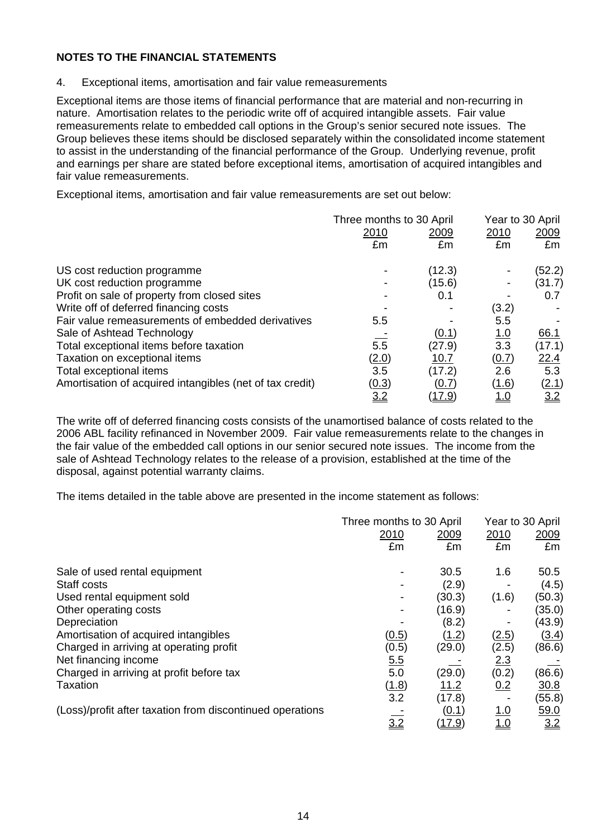4. Exceptional items, amortisation and fair value remeasurements

Exceptional items are those items of financial performance that are material and non-recurring in nature. Amortisation relates to the periodic write off of acquired intangible assets. Fair value remeasurements relate to embedded call options in the Group's senior secured note issues. The Group believes these items should be disclosed separately within the consolidated income statement to assist in the understanding of the financial performance of the Group. Underlying revenue, profit and earnings per share are stated before exceptional items, amortisation of acquired intangibles and fair value remeasurements.

Exceptional items, amortisation and fair value remeasurements are set out below:

|                                                          | Three months to 30 April |               | Year to 30 April |        |  |
|----------------------------------------------------------|--------------------------|---------------|------------------|--------|--|
|                                                          | 2010                     | 2009          | 2010             | 2009   |  |
|                                                          | £m                       | £m            | £m               | £m     |  |
| US cost reduction programme                              |                          | (12.3)        |                  | (52.2) |  |
| UK cost reduction programme                              |                          | (15.6)        | -                | (31.7) |  |
| Profit on sale of property from closed sites             |                          | 0.1           |                  | 0.7    |  |
| Write off of deferred financing costs                    |                          |               | (3.2)            |        |  |
| Fair value remeasurements of embedded derivatives        | 5.5                      |               | 5.5              |        |  |
| Sale of Ashtead Technology                               |                          | (0.1)         | <u>1.0</u>       | 66.1   |  |
| Total exceptional items before taxation                  | 5.5                      | (27.9)        | 3.3              | (17.1) |  |
| Taxation on exceptional items                            | <u>(2.0)</u>             | 10.7          | (0.7)            | 22.4   |  |
| Total exceptional items                                  | 3.5                      | (17.2)        | 2.6              | 5.3    |  |
| Amortisation of acquired intangibles (net of tax credit) | (0.3)                    | (0.7)         | (1.6)            | (2.1)  |  |
|                                                          | 3.2                      | <u>(17.9)</u> | <u>1.0</u>       | 3.2    |  |

The write off of deferred financing costs consists of the unamortised balance of costs related to the 2006 ABL facility refinanced in November 2009. Fair value remeasurements relate to the changes in the fair value of the embedded call options in our senior secured note issues. The income from the sale of Ashtead Technology relates to the release of a provision, established at the time of the disposal, against potential warranty claims.

The items detailed in the table above are presented in the income statement as follows:

|                                                           | Three months to 30 April | Year to 30 April |            |             |
|-----------------------------------------------------------|--------------------------|------------------|------------|-------------|
|                                                           | 2010                     | <u>2009</u>      | 2010       | <u>2009</u> |
|                                                           | £m                       | £m               | £m         | £m          |
| Sale of used rental equipment                             |                          | 30.5             | 1.6        | 50.5        |
| Staff costs                                               |                          | (2.9)            |            | (4.5)       |
| Used rental equipment sold                                |                          | (30.3)           | (1.6)      | (50.3)      |
| Other operating costs                                     |                          | (16.9)           |            | (35.0)      |
| Depreciation                                              |                          | (8.2)            |            | (43.9)      |
| Amortisation of acquired intangibles                      | (0.5)                    | (1.2)            | (2.5)      | (3.4)       |
| Charged in arriving at operating profit                   | (0.5)                    | (29.0)           | (2.5)      | (86.6)      |
| Net financing income                                      | 5.5                      |                  | 2.3        |             |
| Charged in arriving at profit before tax                  | 5.0                      | (29.0)           | (0.2)      | (86.6)      |
| Taxation                                                  | (1.8)                    | 11.2             | 0.2        | <u>30.8</u> |
|                                                           | 3.2                      | (17.8)           |            | (55.8)      |
| (Loss)/profit after taxation from discontinued operations |                          | (0.1)            | <u>1.0</u> | 59.0        |
|                                                           | $\frac{1}{3.2}$          | <u>(17.9)</u>    | 1.0        | 3.2         |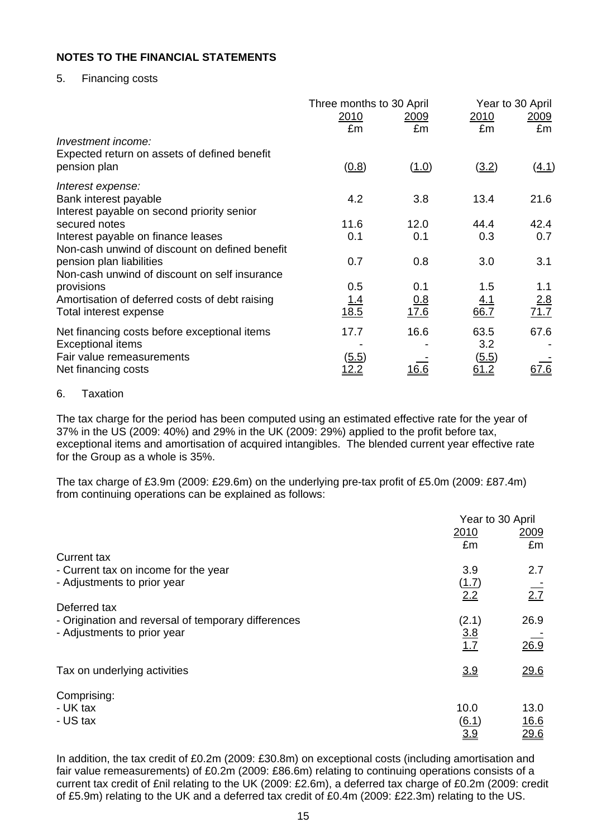## 5. Financing costs

|                                                | Three months to 30 April |              | Year to 30 April |             |  |
|------------------------------------------------|--------------------------|--------------|------------------|-------------|--|
|                                                | <u>2010</u>              | 2009         | <u>2010</u>      | <u>2009</u> |  |
| Investment income:                             | £m                       | £m           | £m               | £m          |  |
| Expected return on assets of defined benefit   |                          |              |                  |             |  |
| pension plan                                   | (0.8)                    | (1.0)        | (3.2)            | (4.1)       |  |
| Interest expense:                              |                          |              |                  |             |  |
| Bank interest payable                          | 4.2                      | 3.8          | 13.4             | 21.6        |  |
| Interest payable on second priority senior     |                          |              |                  |             |  |
| secured notes                                  | 11.6                     | 12.0         | 44.4             | 42.4        |  |
| Interest payable on finance leases             | 0.1                      | 0.1          | 0.3              | 0.7         |  |
| Non-cash unwind of discount on defined benefit |                          |              |                  |             |  |
| pension plan liabilities                       | 0.7                      | 0.8          | 3.0              | 3.1         |  |
| Non-cash unwind of discount on self insurance  |                          |              |                  |             |  |
| provisions                                     | 0.5                      | 0.1          | 1.5              | 1.1         |  |
| Amortisation of deferred costs of debt raising | <u> 1.4</u>              | <u>0.8</u>   | <u>4.1</u>       | 2.8         |  |
| Total interest expense                         | 18.5                     | 17.6         | 66.7             | 71.7        |  |
| Net financing costs before exceptional items   | 17.7                     | 16.6         | 63.5             | 67.6        |  |
| <b>Exceptional items</b>                       |                          |              | 3.2              |             |  |
| Fair value remeasurements                      | (5.5)                    |              | (5.5)            |             |  |
| Net financing costs                            | <u> 12.2</u>             | <u> 16.6</u> | 61.2             | <u>67.6</u> |  |
|                                                |                          |              |                  |             |  |

#### 6. Taxation

The tax charge for the period has been computed using an estimated effective rate for the year of 37% in the US (2009: 40%) and 29% in the UK (2009: 29%) applied to the profit before tax, exceptional items and amortisation of acquired intangibles. The blended current year effective rate for the Group as a whole is 35%.

The tax charge of £3.9m (2009: £29.6m) on the underlying pre-tax profit of £5.0m (2009: £87.4m) from continuing operations can be explained as follows:

|                                                     | Year to 30 April |                  |  |
|-----------------------------------------------------|------------------|------------------|--|
|                                                     | 2010             | 2009             |  |
|                                                     | £m               | £m               |  |
| Current tax                                         |                  |                  |  |
| - Current tax on income for the year                | 3.9              | 2.7              |  |
| - Adjustments to prior year                         | (1.7)            |                  |  |
|                                                     | 2.2              | $\overline{2.7}$ |  |
| Deferred tax                                        |                  |                  |  |
| - Origination and reversal of temporary differences | (2.1)            | 26.9             |  |
| - Adjustments to prior year                         | 3.8              |                  |  |
|                                                     | 1.7              | 26.9             |  |
| Tax on underlying activities                        | 3.9              | 29.6             |  |
|                                                     |                  |                  |  |
| Comprising:                                         |                  |                  |  |
| - UK tax                                            | 10.0             | 13.0             |  |
| - US tax                                            | (6.1)            | 16.6             |  |
|                                                     | 3.9              | 29.6             |  |

In addition, the tax credit of £0.2m (2009: £30.8m) on exceptional costs (including amortisation and fair value remeasurements) of £0.2m (2009: £86.6m) relating to continuing operations consists of a current tax credit of £nil relating to the UK (2009: £2.6m), a deferred tax charge of £0.2m (2009: credit of £5.9m) relating to the UK and a deferred tax credit of £0.4m (2009: £22.3m) relating to the US.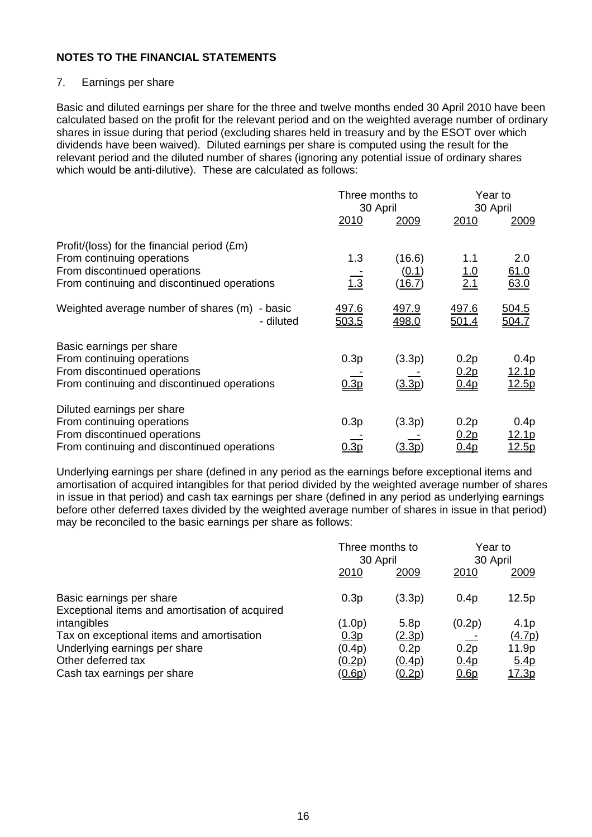# 7. Earnings per share

Basic and diluted earnings per share for the three and twelve months ended 30 April 2010 have been calculated based on the profit for the relevant period and on the weighted average number of ordinary shares in issue during that period (excluding shares held in treasury and by the ESOT over which dividends have been waived). Diluted earnings per share is computed using the result for the relevant period and the diluted number of shares (ignoring any potential issue of ordinary shares which would be anti-dilutive). These are calculated as follows:

|                                                                                                                                                          | Three months to<br>30 April  |                           |                                  | Year to<br>30 April                    |
|----------------------------------------------------------------------------------------------------------------------------------------------------------|------------------------------|---------------------------|----------------------------------|----------------------------------------|
|                                                                                                                                                          | 2010                         | <u>2009</u>               | 2010                             | 2009                                   |
| Profit/(loss) for the financial period (£m)<br>From continuing operations<br>From discontinued operations<br>From continuing and discontinued operations | 1.3<br>$\overline{1.3}$      | (16.6)<br>(0.1)<br>(16.7) | 1.1<br>$\frac{1.0}{2.1}$         | 2.0<br><u>61.0</u><br>63.0             |
| Weighted average number of shares (m)<br>- basic<br>- diluted                                                                                            | <u>497.6</u><br><u>503.5</u> | 497.9<br><u>498.0</u>     | <u>497.6</u><br>501.4            | <u>504.5</u><br>04.7                   |
| Basic earnings per share<br>From continuing operations<br>From discontinued operations<br>From continuing and discontinued operations                    | 0.3p<br>0.3 <sub>D</sub>     | (3.3p)<br>(3.3p)          | 0.2p<br>0.2 <sub>p</sub><br>0.4p | 0.4p<br><u>12.1p</u><br>12.5p          |
| Diluted earnings per share<br>From continuing operations<br>From discontinued operations<br>From continuing and discontinued operations                  | 0.3p<br><u>).3p</u>          | (3.3p)<br><u> 3.3p</u>    | 0.2p<br><u>0.2p</u><br>0.4p      | 0.4p<br><u> 12.1p</u><br><u> 12.5p</u> |

Underlying earnings per share (defined in any period as the earnings before exceptional items and amortisation of acquired intangibles for that period divided by the weighted average number of shares in issue in that period) and cash tax earnings per share (defined in any period as underlying earnings before other deferred taxes divided by the weighted average number of shares in issue in that period) may be reconciled to the basic earnings per share as follows:

|                                                                            | Three months to<br>30 April |                  | Year to<br>30 April |                  |
|----------------------------------------------------------------------------|-----------------------------|------------------|---------------------|------------------|
|                                                                            | 2010                        | 2009             | 2010                | 2009             |
| Basic earnings per share<br>Exceptional items and amortisation of acquired | 0.3p                        | (3.3p)           | 0.4p                | 12.5p            |
| intangibles                                                                | (1.0p)                      | 5.8 <sub>p</sub> | (0.2p)              | 4.1 <sub>p</sub> |
| Tax on exceptional items and amortisation                                  | 0.3p                        | <u>(2.3p)</u>    |                     | (4.7p)           |
| Underlying earnings per share                                              | (0.4p)                      | 0.2p             | 0.2p                | 11.9p            |
| Other deferred tax                                                         | (0.2p)                      | (0.4p)           | 0.4 <sub>p</sub>    | <u>5.4p</u>      |
| Cash tax earnings per share                                                | <u>(0.6p)</u>               | <u>(0.2p)</u>    | 0.6p                | <u> 17.3p</u>    |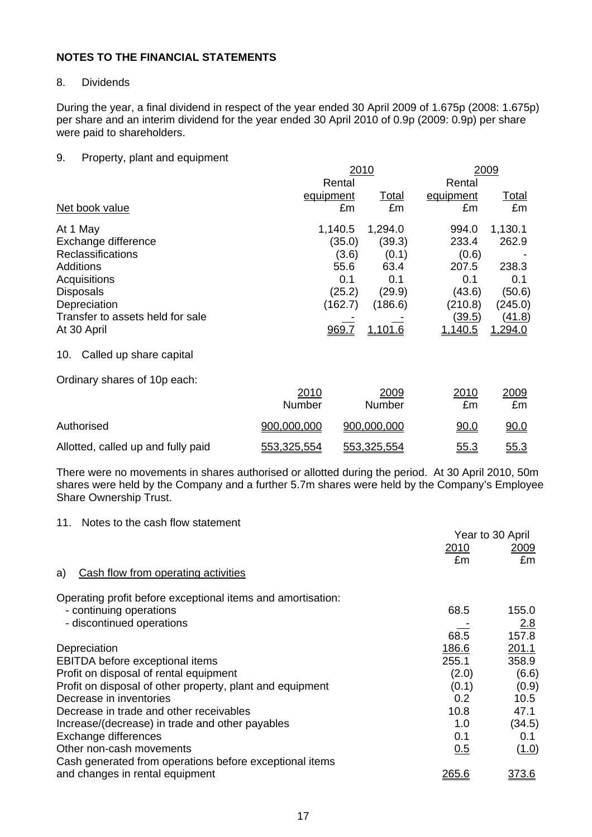## 8. Dividends

During the year, a final dividend in respect of the year ended 30 April 2009 of 1.675p (2008: 1.675p) per share and an interim dividend for the year ended 30 April 2010 of 0.9p (2009: 0.9p) per share were paid to shareholders.

### 9. Property, plant and equipment

|                                  |             |              | 2010         |                | 2009         |
|----------------------------------|-------------|--------------|--------------|----------------|--------------|
|                                  |             | Rental       |              | Rental         |              |
|                                  | equipment   |              | <u>Total</u> | equipment      | <u>Total</u> |
| Net book value                   |             | £m           | £m           | £m             | £m           |
| At 1 May                         |             | 1,140.5      | 1,294.0      | 994.0          | 1,130.1      |
| Exchange difference              |             | (35.0)       | (39.3)       | 233.4          | 262.9        |
| <b>Reclassifications</b>         |             | (3.6)        | (0.1)        | (0.6)          |              |
| <b>Additions</b>                 |             | 55.6         | 63.4         | 207.5          | 238.3        |
| Acquisitions                     |             | 0.1          | 0.1          | 0.1            | 0.1          |
| <b>Disposals</b>                 |             | (25.2)       | (29.9)       | (43.6)         | (50.6)       |
| Depreciation                     |             | (162.7)      | (186.6)      | (210.8)        | (245.0)      |
| Transfer to assets held for sale |             |              |              | (39.5)         | (41.8)       |
| At 30 April                      |             | <u>969.7</u> | 1.101.6      | <u>1,140.5</u> | 1,294.0      |
| Called up share capital<br>10.   |             |              |              |                |              |
| Ordinary shares of 10p each:     |             |              |              |                |              |
|                                  | 2010        |              | 2009         | 2010           | 2009         |
|                                  | Number      |              | Number       | £m             | £m           |
| Authorised                       | 900,000,000 |              | 900,000,000  | 90.0           | 90.0         |

There were no movements in shares authorised or allotted during the period. At 30 April 2010, 50m shares were held by the Company and a further 5.7m shares were held by the Company's Employee Share Ownership Trust.

Allotted, called up and fully paid  $553,325,554$   $553,325,554$   $55.3$   $55.3$ 

#### 11. Notes to the cash flow statement

|                                                             | Year to 30 April |              |
|-------------------------------------------------------------|------------------|--------------|
|                                                             | 2010             | 2009         |
|                                                             | £m               | £m           |
| Cash flow from operating activities<br>a)                   |                  |              |
| Operating profit before exceptional items and amortisation: |                  |              |
| - continuing operations                                     | 68.5             | 155.0        |
| - discontinued operations                                   |                  | 2.8          |
|                                                             | 68.5             | 157.8        |
| Depreciation                                                | 186.6            | 201.1        |
| <b>EBITDA</b> before exceptional items                      | 255.1            | 358.9        |
| Profit on disposal of rental equipment                      | (2.0)            | (6.6)        |
| Profit on disposal of other property, plant and equipment   | (0.1)            | (0.9)        |
| Decrease in inventories                                     | 0.2              | 10.5         |
| Decrease in trade and other receivables                     | 10.8             | 47.1         |
| Increase/(decrease) in trade and other payables             | 1.0              | (34.5)       |
| Exchange differences                                        | 0.1              | 0.1          |
| Other non-cash movements                                    | 0.5              | (1.0)        |
| Cash generated from operations before exceptional items     |                  |              |
| and changes in rental equipment                             | <u> 265.6</u>    | <u>373.6</u> |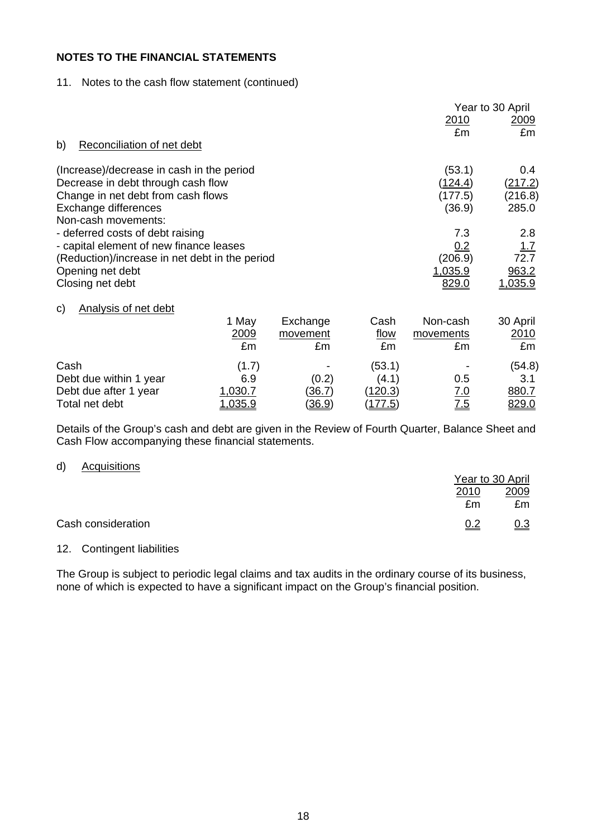## 11. Notes to the cash flow statement (continued)

|                                                                                           |                     |                            |                           |                             | Year to 30 April        |
|-------------------------------------------------------------------------------------------|---------------------|----------------------------|---------------------------|-----------------------------|-------------------------|
|                                                                                           |                     |                            |                           | <u>2010</u>                 | 2009                    |
| b)<br>Reconciliation of net debt                                                          |                     |                            |                           | £m                          | £m                      |
| (Increase)/decrease in cash in the period<br>Decrease in debt through cash flow           |                     |                            |                           | (53.1)<br><u>(124.4)</u>    | 0.4<br><u>(217.2)</u>   |
| Change in net debt from cash flows<br>Exchange differences<br>Non-cash movements:         |                     |                            |                           | (177.5)<br>(36.9)           | (216.8)<br>285.0        |
| - deferred costs of debt raising                                                          |                     |                            |                           | 7.3                         | 2.8                     |
| - capital element of new finance leases<br>(Reduction)/increase in net debt in the period |                     |                            |                           | 0.2<br>(206.9)              | 1.7<br>72.7             |
| Opening net debt<br>Closing net debt                                                      |                     |                            |                           | 1,035.9<br>829.0            | 963.2<br><u>1,035.9</u> |
| <b>Analysis of net debt</b><br>C)                                                         |                     |                            |                           |                             |                         |
|                                                                                           | 1 May<br>2009<br>£m | Exchange<br>movement<br>£m | Cash<br><u>flow</u><br>£m | Non-cash<br>movements<br>£m | 30 April<br>2010<br>£m  |
| Cash                                                                                      | (1.7)               |                            | (53.1)                    |                             | (54.8)                  |
| Debt due within 1 year                                                                    | 6.9                 | (0.2)                      | (4.1)                     | 0.5                         | 3.1                     |
| Debt due after 1 year                                                                     | 1,030.7             | <u>(36.7)</u>              | (120.3)                   | <u>7.0</u>                  | 880.7                   |
| Total net debt                                                                            | <u>1,035.9</u>      | <u>(36.9)</u>              | 177.5                     | 7.5                         | 829.0                   |

Details of the Group's cash and debt are given in the Review of Fourth Quarter, Balance Sheet and Cash Flow accompanying these financial statements.

#### d) Acquisitions

|                    |      | Year to 30 April |
|--------------------|------|------------------|
|                    | 2010 | 2009             |
|                    | £m   | £m               |
| Cash consideration | 0.2  | <u>0.3</u>       |

#### 12. Contingent liabilities

The Group is subject to periodic legal claims and tax audits in the ordinary course of its business, none of which is expected to have a significant impact on the Group's financial position.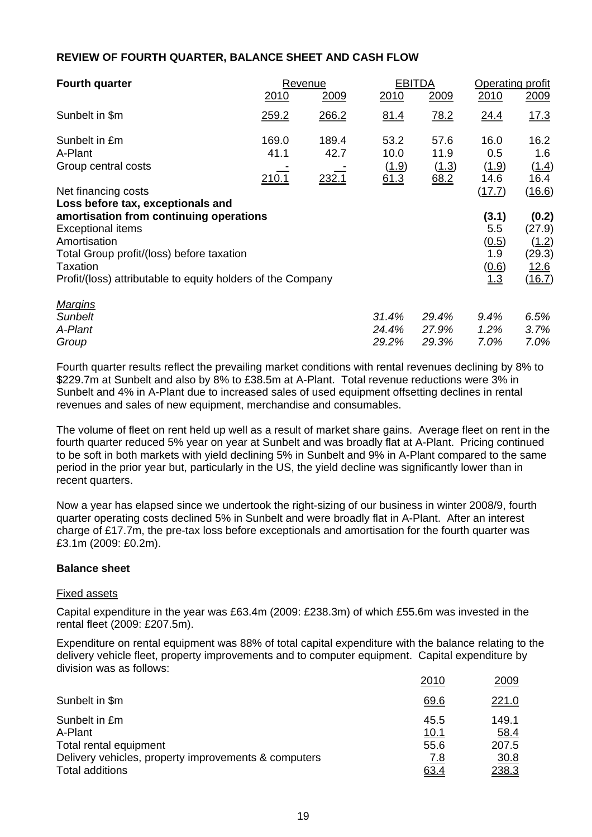## **REVIEW OF FOURTH QUARTER, BALANCE SHEET AND CASH FLOW**

| <b>Fourth quarter</b>                                                                                                                                                                                       | Revenue                        |                        |                               | <b>EBITDA</b>                 |                                              | Operating profit                                     |  |
|-------------------------------------------------------------------------------------------------------------------------------------------------------------------------------------------------------------|--------------------------------|------------------------|-------------------------------|-------------------------------|----------------------------------------------|------------------------------------------------------|--|
|                                                                                                                                                                                                             | 2010                           | <u> 2009</u>           | 2010                          | 2009                          | 2010                                         | 2009                                                 |  |
| Sunbelt in \$m                                                                                                                                                                                              | 259.2                          | 266.2                  | 81.4                          | 78.2                          | <u>24.4</u>                                  | 17.3                                                 |  |
| Sunbelt in £m<br>A-Plant<br>Group central costs                                                                                                                                                             | 169.0<br>41.1<br><u> 210.1</u> | 189.4<br>42.7<br>232.1 | 53.2<br>10.0<br>(1.9)<br>61.3 | 57.6<br>11.9<br>(1.3)<br>68.2 | 16.0<br>0.5<br>(1.9)<br>14.6                 | 16.2<br>1.6<br>(1.4)<br>16.4                         |  |
| Net financing costs<br>Loss before tax, exceptionals and                                                                                                                                                    |                                |                        |                               |                               | (17.7)                                       | (16.6)                                               |  |
| amortisation from continuing operations<br><b>Exceptional items</b><br>Amortisation<br>Total Group profit/(loss) before taxation<br>Taxation<br>Profit/(loss) attributable to equity holders of the Company |                                |                        |                               |                               | (3.1)<br>5.5<br>(0.5)<br>1.9<br>(0.6)<br>1.3 | (0.2)<br>(27.9)<br>(1.2)<br>(29.3)<br>12.6<br>(16.7) |  |
| <b>Margins</b><br>Sunbelt<br>A-Plant<br>Group                                                                                                                                                               |                                |                        | 31.4%<br>24.4%<br>29.2%       | 29.4%<br>27.9%<br>29.3%       | 9.4%<br>1.2%<br>7.0%                         | 6.5%<br>3.7%<br>7.0%                                 |  |

Fourth quarter results reflect the prevailing market conditions with rental revenues declining by 8% to \$229.7m at Sunbelt and also by 8% to £38.5m at A-Plant. Total revenue reductions were 3% in Sunbelt and 4% in A-Plant due to increased sales of used equipment offsetting declines in rental revenues and sales of new equipment, merchandise and consumables.

The volume of fleet on rent held up well as a result of market share gains. Average fleet on rent in the fourth quarter reduced 5% year on year at Sunbelt and was broadly flat at A-Plant. Pricing continued to be soft in both markets with yield declining 5% in Sunbelt and 9% in A-Plant compared to the same period in the prior year but, particularly in the US, the yield decline was significantly lower than in recent quarters.

Now a year has elapsed since we undertook the right-sizing of our business in winter 2008/9, fourth quarter operating costs declined 5% in Sunbelt and were broadly flat in A-Plant. After an interest charge of £17.7m, the pre-tax loss before exceptionals and amortisation for the fourth quarter was £3.1m (2009: £0.2m).

### **Balance sheet**

#### Fixed assets

Capital expenditure in the year was £63.4m (2009: £238.3m) of which £55.6m was invested in the rental fleet (2009: £207.5m).

Expenditure on rental equipment was 88% of total capital expenditure with the balance relating to the delivery vehicle fleet, property improvements and to computer equipment. Capital expenditure by division was as follows:

|                                                                         | 2010                 | 2009          |
|-------------------------------------------------------------------------|----------------------|---------------|
| Sunbelt in \$m                                                          | 69.6                 | 221.0         |
| Sunbelt in £m<br>A-Plant                                                | 45.5                 | 149.1         |
| Total rental equipment                                                  | <u> 10.1</u><br>55.6 | 58.4<br>207.5 |
| Delivery vehicles, property improvements & computers<br>Total additions | <u>7.8</u><br>63.4   | 30.8<br>238.3 |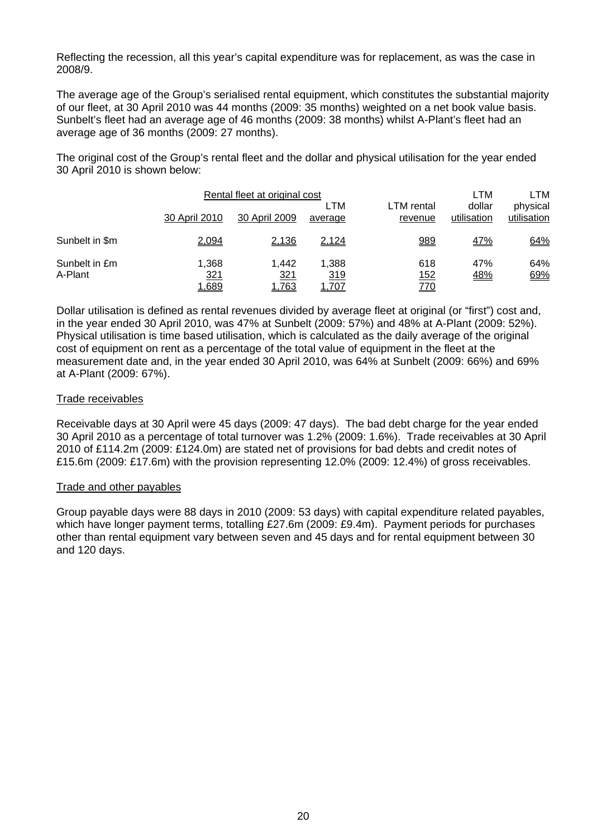Reflecting the recession, all this year's capital expenditure was for replacement, as was the case in 2008/9.

The average age of the Group's serialised rental equipment, which constitutes the substantial majority of our fleet, at 30 April 2010 was 44 months (2009: 35 months) weighted on a net book value basis. Sunbelt's fleet had an average age of 46 months (2009: 38 months) whilst A-Plant's fleet had an average age of 36 months (2009: 27 months).

The original cost of the Group's rental fleet and the dollar and physical utilisation for the year ended 30 April 2010 is shown below:

|                          |                              | Rental fleet at original cost |                       |                                  | LTM                   | LTM                     |
|--------------------------|------------------------------|-------------------------------|-----------------------|----------------------------------|-----------------------|-------------------------|
|                          | 30 April 2010                | 30 April 2009                 | LTM<br>average        | LTM rental<br>revenue            | dollar<br>utilisation | physical<br>utilisation |
| Sunbelt in \$m           | 2,094                        | 2,136                         | 2,124                 | 989                              | <u>47%</u>            | 64%                     |
| Sunbelt in £m<br>A-Plant | 1,368<br><u>321</u><br>1,689 | 1.442<br><u>321</u><br>1,763  | 1,388<br>319<br>1,707 | 618<br><u> 152</u><br><u>770</u> | 47%<br><u>48%</u>     | 64%<br>69%              |

Dollar utilisation is defined as rental revenues divided by average fleet at original (or "first") cost and, in the year ended 30 April 2010, was 47% at Sunbelt (2009: 57%) and 48% at A-Plant (2009: 52%). Physical utilisation is time based utilisation, which is calculated as the daily average of the original cost of equipment on rent as a percentage of the total value of equipment in the fleet at the measurement date and, in the year ended 30 April 2010, was 64% at Sunbelt (2009: 66%) and 69% at A-Plant (2009: 67%).

#### Trade receivables

Receivable days at 30 April were 45 days (2009: 47 days). The bad debt charge for the year ended 30 April 2010 as a percentage of total turnover was 1.2% (2009: 1.6%). Trade receivables at 30 April 2010 of £114.2m (2009: £124.0m) are stated net of provisions for bad debts and credit notes of £15.6m (2009: £17.6m) with the provision representing 12.0% (2009: 12.4%) of gross receivables.

#### Trade and other payables

Group payable days were 88 days in 2010 (2009: 53 days) with capital expenditure related payables, which have longer payment terms, totalling £27.6m (2009: £9.4m). Payment periods for purchases other than rental equipment vary between seven and 45 days and for rental equipment between 30 and 120 days.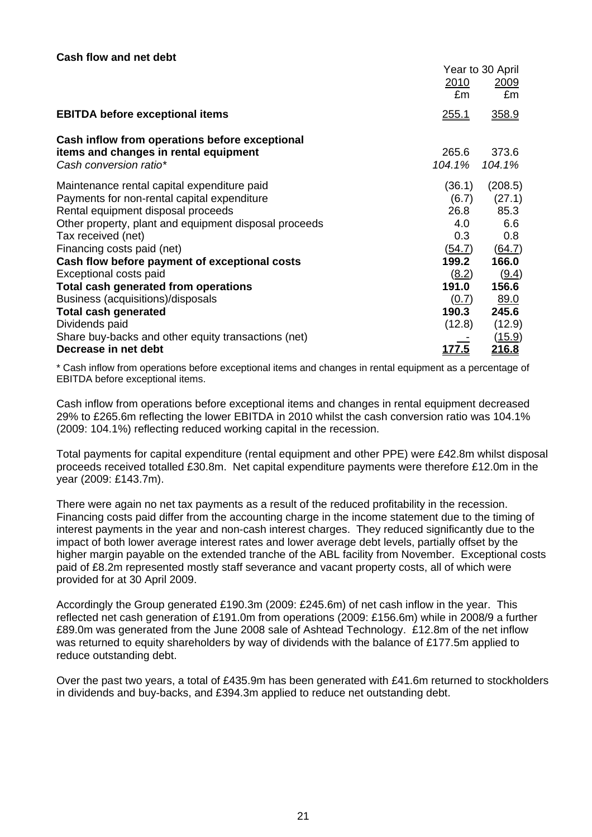|                                                                 | Year to 30 April |                 |
|-----------------------------------------------------------------|------------------|-----------------|
|                                                                 | 2010<br>£m       | 2009<br>£m      |
| <b>EBITDA before exceptional items</b>                          | <u>255.1</u>     | 358.9           |
| Cash inflow from operations before exceptional                  |                  |                 |
| items and changes in rental equipment<br>Cash conversion ratio* | 265.6<br>104.1%  | 373.6<br>104.1% |
| Maintenance rental capital expenditure paid                     | (36.1)           | (208.5)         |
| Payments for non-rental capital expenditure                     | (6.7)            | (27.1)          |
| Rental equipment disposal proceeds                              | 26.8             | 85.3            |
| Other property, plant and equipment disposal proceeds           | 4.0              | 6.6             |
| Tax received (net)                                              | 0.3 <sub>0</sub> | 0.8             |
| Financing costs paid (net)                                      | (54.7)           | (64.7)          |
| Cash flow before payment of exceptional costs                   | 199.2            | 166.0           |
| Exceptional costs paid                                          | (8.2)            | (9.4)           |
| Total cash generated from operations                            | 191.0            | 156.6           |
| Business (acquisitions)/disposals                               | (0.7)            | 89.0            |
| <b>Total cash generated</b>                                     | 190.3            | 245.6           |
| Dividends paid                                                  | (12.8)           | (12.9)          |
| Share buy-backs and other equity transactions (net)             |                  | <u>(15.9)</u>   |
| Decrease in net debt                                            | <u> 177.5</u>    | <u>216.8</u>    |

\* Cash inflow from operations before exceptional items and changes in rental equipment as a percentage of EBITDA before exceptional items.

Cash inflow from operations before exceptional items and changes in rental equipment decreased 29% to £265.6m reflecting the lower EBITDA in 2010 whilst the cash conversion ratio was 104.1% (2009: 104.1%) reflecting reduced working capital in the recession.

Total payments for capital expenditure (rental equipment and other PPE) were £42.8m whilst disposal proceeds received totalled £30.8m. Net capital expenditure payments were therefore £12.0m in the year (2009: £143.7m).

There were again no net tax payments as a result of the reduced profitability in the recession. Financing costs paid differ from the accounting charge in the income statement due to the timing of interest payments in the year and non-cash interest charges. They reduced significantly due to the impact of both lower average interest rates and lower average debt levels, partially offset by the higher margin payable on the extended tranche of the ABL facility from November. Exceptional costs paid of £8.2m represented mostly staff severance and vacant property costs, all of which were provided for at 30 April 2009.

Accordingly the Group generated £190.3m (2009: £245.6m) of net cash inflow in the year. This reflected net cash generation of £191.0m from operations (2009: £156.6m) while in 2008/9 a further £89.0m was generated from the June 2008 sale of Ashtead Technology. £12.8m of the net inflow was returned to equity shareholders by way of dividends with the balance of £177.5m applied to reduce outstanding debt.

Over the past two years, a total of £435.9m has been generated with £41.6m returned to stockholders in dividends and buy-backs, and £394.3m applied to reduce net outstanding debt.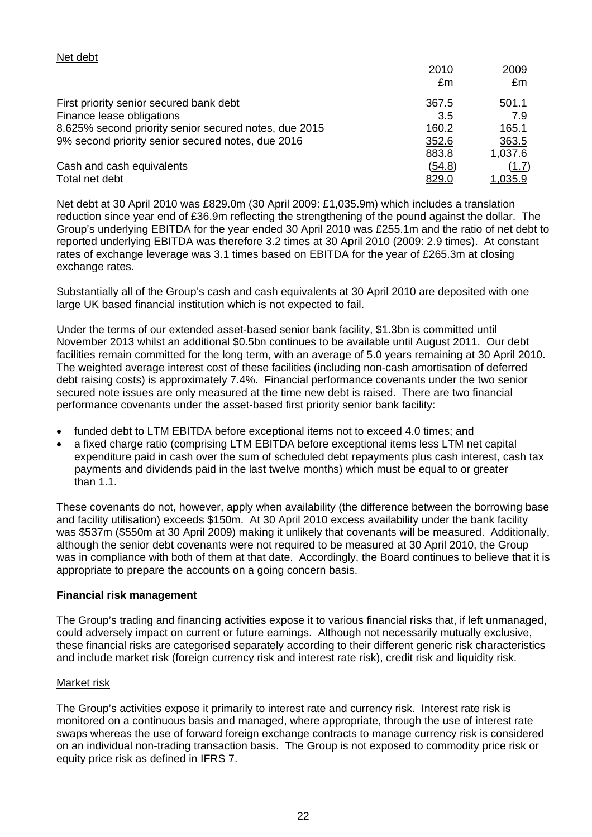| First priority senior secured bank debt               | 367.5        | 501.1          |
|-------------------------------------------------------|--------------|----------------|
| Finance lease obligations                             | 3.5          | 7.9            |
| 8.625% second priority senior secured notes, due 2015 | 160.2        | 165.1          |
| 9% second priority senior secured notes, due 2016     | 352.6        | 363.5          |
|                                                       | 883.8        | 1,037.6        |
| Cash and cash equivalents                             | (54.8)       | (1.7)          |
| Total net debt                                        | <u>829.0</u> | <u>1,035.9</u> |

Net debt at 30 April 2010 was £829.0m (30 April 2009: £1,035.9m) which includes a translation reduction since year end of £36.9m reflecting the strengthening of the pound against the dollar. The Group's underlying EBITDA for the year ended 30 April 2010 was £255.1m and the ratio of net debt to reported underlying EBITDA was therefore 3.2 times at 30 April 2010 (2009: 2.9 times). At constant rates of exchange leverage was 3.1 times based on EBITDA for the year of £265.3m at closing exchange rates.

Substantially all of the Group's cash and cash equivalents at 30 April 2010 are deposited with one large UK based financial institution which is not expected to fail.

Under the terms of our extended asset-based senior bank facility, \$1.3bn is committed until November 2013 whilst an additional \$0.5bn continues to be available until August 2011. Our debt facilities remain committed for the long term, with an average of 5.0 years remaining at 30 April 2010. The weighted average interest cost of these facilities (including non-cash amortisation of deferred debt raising costs) is approximately 7.4%. Financial performance covenants under the two senior secured note issues are only measured at the time new debt is raised. There are two financial performance covenants under the asset-based first priority senior bank facility:

- funded debt to LTM EBITDA before exceptional items not to exceed 4.0 times; and
- a fixed charge ratio (comprising LTM EBITDA before exceptional items less LTM net capital expenditure paid in cash over the sum of scheduled debt repayments plus cash interest, cash tax payments and dividends paid in the last twelve months) which must be equal to or greater than 1.1.

These covenants do not, however, apply when availability (the difference between the borrowing base and facility utilisation) exceeds \$150m. At 30 April 2010 excess availability under the bank facility was \$537m (\$550m at 30 April 2009) making it unlikely that covenants will be measured. Additionally, although the senior debt covenants were not required to be measured at 30 April 2010, the Group was in compliance with both of them at that date. Accordingly, the Board continues to believe that it is appropriate to prepare the accounts on a going concern basis.

### **Financial risk management**

The Group's trading and financing activities expose it to various financial risks that, if left unmanaged, could adversely impact on current or future earnings. Although not necessarily mutually exclusive, these financial risks are categorised separately according to their different generic risk characteristics and include market risk (foreign currency risk and interest rate risk), credit risk and liquidity risk.

### Market risk

Net debt

The Group's activities expose it primarily to interest rate and currency risk. Interest rate risk is monitored on a continuous basis and managed, where appropriate, through the use of interest rate swaps whereas the use of forward foreign exchange contracts to manage currency risk is considered on an individual non-trading transaction basis. The Group is not exposed to commodity price risk or equity price risk as defined in IFRS 7.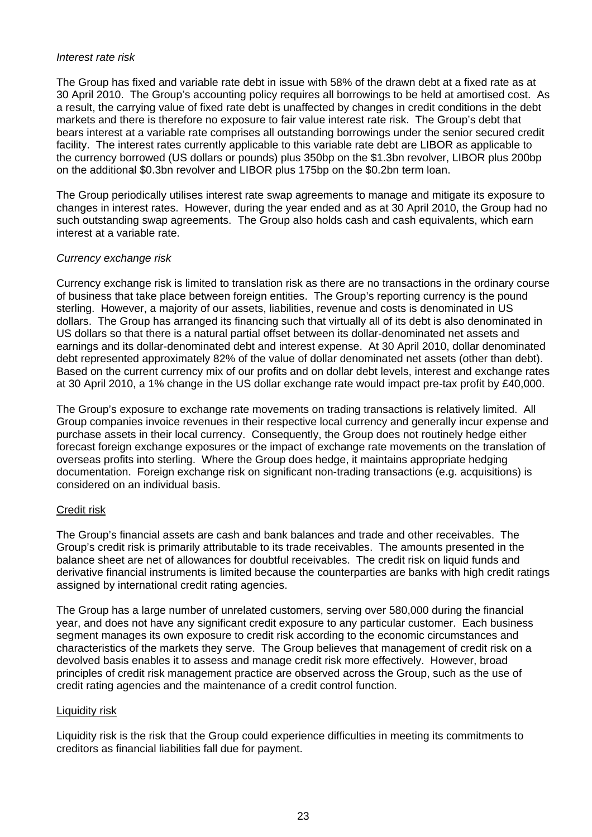#### *Interest rate risk*

The Group has fixed and variable rate debt in issue with 58% of the drawn debt at a fixed rate as at 30 April 2010. The Group's accounting policy requires all borrowings to be held at amortised cost. As a result, the carrying value of fixed rate debt is unaffected by changes in credit conditions in the debt markets and there is therefore no exposure to fair value interest rate risk. The Group's debt that bears interest at a variable rate comprises all outstanding borrowings under the senior secured credit facility. The interest rates currently applicable to this variable rate debt are LIBOR as applicable to the currency borrowed (US dollars or pounds) plus 350bp on the \$1.3bn revolver, LIBOR plus 200bp on the additional \$0.3bn revolver and LIBOR plus 175bp on the \$0.2bn term loan.

The Group periodically utilises interest rate swap agreements to manage and mitigate its exposure to changes in interest rates. However, during the year ended and as at 30 April 2010, the Group had no such outstanding swap agreements. The Group also holds cash and cash equivalents, which earn interest at a variable rate.

### *Currency exchange risk*

Currency exchange risk is limited to translation risk as there are no transactions in the ordinary course of business that take place between foreign entities. The Group's reporting currency is the pound sterling. However, a majority of our assets, liabilities, revenue and costs is denominated in US dollars. The Group has arranged its financing such that virtually all of its debt is also denominated in US dollars so that there is a natural partial offset between its dollar-denominated net assets and earnings and its dollar-denominated debt and interest expense. At 30 April 2010, dollar denominated debt represented approximately 82% of the value of dollar denominated net assets (other than debt). Based on the current currency mix of our profits and on dollar debt levels, interest and exchange rates at 30 April 2010, a 1% change in the US dollar exchange rate would impact pre-tax profit by £40,000.

The Group's exposure to exchange rate movements on trading transactions is relatively limited. All Group companies invoice revenues in their respective local currency and generally incur expense and purchase assets in their local currency. Consequently, the Group does not routinely hedge either forecast foreign exchange exposures or the impact of exchange rate movements on the translation of overseas profits into sterling. Where the Group does hedge, it maintains appropriate hedging documentation. Foreign exchange risk on significant non-trading transactions (e.g. acquisitions) is considered on an individual basis.

### Credit risk

The Group's financial assets are cash and bank balances and trade and other receivables. The Group's credit risk is primarily attributable to its trade receivables. The amounts presented in the balance sheet are net of allowances for doubtful receivables. The credit risk on liquid funds and derivative financial instruments is limited because the counterparties are banks with high credit ratings assigned by international credit rating agencies.

The Group has a large number of unrelated customers, serving over 580,000 during the financial year, and does not have any significant credit exposure to any particular customer. Each business segment manages its own exposure to credit risk according to the economic circumstances and characteristics of the markets they serve. The Group believes that management of credit risk on a devolved basis enables it to assess and manage credit risk more effectively. However, broad principles of credit risk management practice are observed across the Group, such as the use of credit rating agencies and the maintenance of a credit control function.

### Liquidity risk

Liquidity risk is the risk that the Group could experience difficulties in meeting its commitments to creditors as financial liabilities fall due for payment.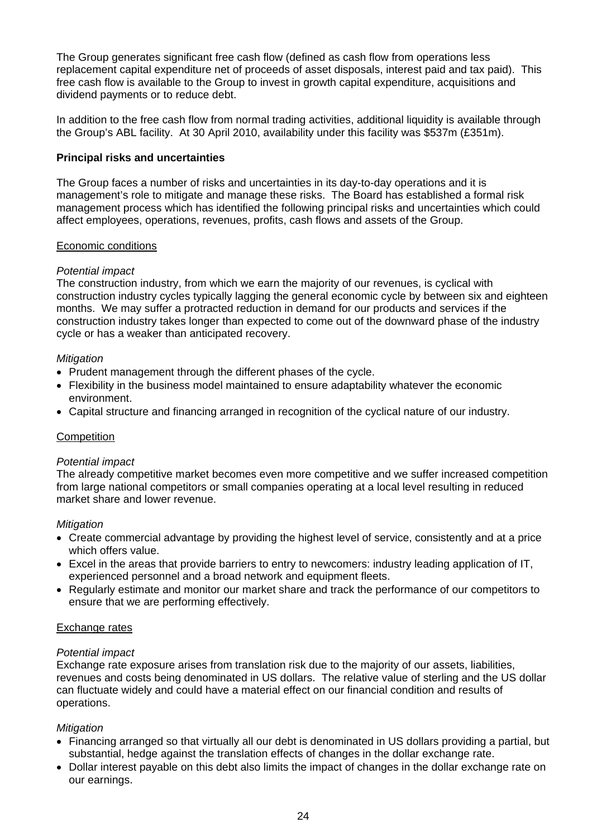The Group generates significant free cash flow (defined as cash flow from operations less replacement capital expenditure net of proceeds of asset disposals, interest paid and tax paid). This free cash flow is available to the Group to invest in growth capital expenditure, acquisitions and dividend payments or to reduce debt.

In addition to the free cash flow from normal trading activities, additional liquidity is available through the Group's ABL facility. At 30 April 2010, availability under this facility was \$537m (£351m).

## **Principal risks and uncertainties**

The Group faces a number of risks and uncertainties in its day-to-day operations and it is management's role to mitigate and manage these risks. The Board has established a formal risk management process which has identified the following principal risks and uncertainties which could affect employees, operations, revenues, profits, cash flows and assets of the Group.

### Economic conditions

### *Potential impact*

The construction industry, from which we earn the majority of our revenues, is cyclical with construction industry cycles typically lagging the general economic cycle by between six and eighteen months. We may suffer a protracted reduction in demand for our products and services if the construction industry takes longer than expected to come out of the downward phase of the industry cycle or has a weaker than anticipated recovery.

#### *Mitigation*

- Prudent management through the different phases of the cycle.
- Flexibility in the business model maintained to ensure adaptability whatever the economic environment.
- Capital structure and financing arranged in recognition of the cyclical nature of our industry.

#### **Competition**

#### *Potential impact*

The already competitive market becomes even more competitive and we suffer increased competition from large national competitors or small companies operating at a local level resulting in reduced market share and lower revenue.

#### *Mitigation*

- Create commercial advantage by providing the highest level of service, consistently and at a price which offers value.
- Excel in the areas that provide barriers to entry to newcomers: industry leading application of IT, experienced personnel and a broad network and equipment fleets.
- Regularly estimate and monitor our market share and track the performance of our competitors to ensure that we are performing effectively.

### Exchange rates

### *Potential impact*

Exchange rate exposure arises from translation risk due to the majority of our assets, liabilities, revenues and costs being denominated in US dollars. The relative value of sterling and the US dollar can fluctuate widely and could have a material effect on our financial condition and results of operations.

### *Mitigation*

- Financing arranged so that virtually all our debt is denominated in US dollars providing a partial, but substantial, hedge against the translation effects of changes in the dollar exchange rate.
- Dollar interest payable on this debt also limits the impact of changes in the dollar exchange rate on our earnings.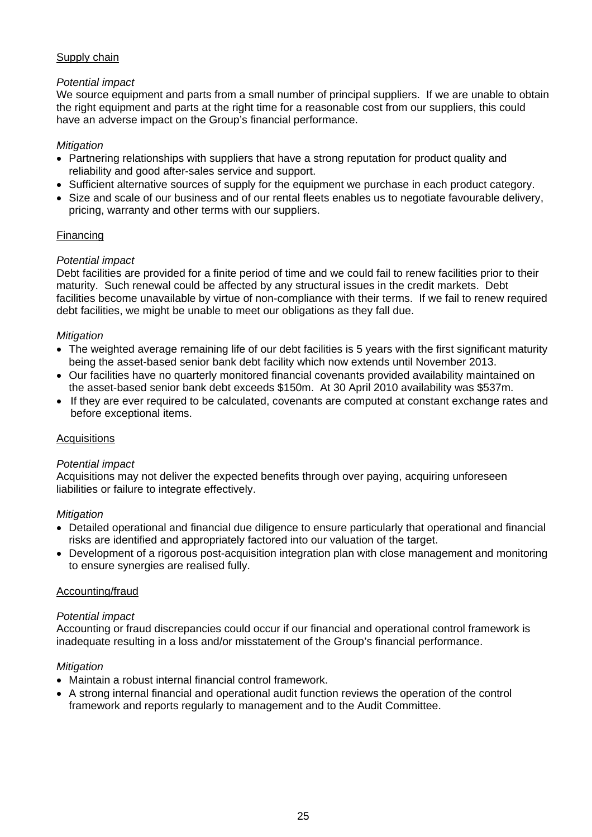# Supply chain

# *Potential impact*

We source equipment and parts from a small number of principal suppliers. If we are unable to obtain the right equipment and parts at the right time for a reasonable cost from our suppliers, this could have an adverse impact on the Group's financial performance.

## *Mitigation*

- Partnering relationships with suppliers that have a strong reputation for product quality and reliability and good after-sales service and support.
- Sufficient alternative sources of supply for the equipment we purchase in each product category.
- Size and scale of our business and of our rental fleets enables us to negotiate favourable delivery, pricing, warranty and other terms with our suppliers.

# Financing

# *Potential impact*

Debt facilities are provided for a finite period of time and we could fail to renew facilities prior to their maturity. Such renewal could be affected by any structural issues in the credit markets. Debt facilities become unavailable by virtue of non-compliance with their terms. If we fail to renew required debt facilities, we might be unable to meet our obligations as they fall due.

### *Mitigation*

- The weighted average remaining life of our debt facilities is 5 years with the first significant maturity being the asset-based senior bank debt facility which now extends until November 2013.
- Our facilities have no quarterly monitored financial covenants provided availability maintained on the asset-based senior bank debt exceeds \$150m. At 30 April 2010 availability was \$537m.
- If they are ever required to be calculated, covenants are computed at constant exchange rates and before exceptional items.

### **Acquisitions**

### *Potential impact*

Acquisitions may not deliver the expected benefits through over paying, acquiring unforeseen liabilities or failure to integrate effectively.

### *Mitigation*

- Detailed operational and financial due diligence to ensure particularly that operational and financial risks are identified and appropriately factored into our valuation of the target.
- Development of a rigorous post-acquisition integration plan with close management and monitoring to ensure synergies are realised fully.

### Accounting/fraud

### *Potential impact*

Accounting or fraud discrepancies could occur if our financial and operational control framework is inadequate resulting in a loss and/or misstatement of the Group's financial performance.

### *Mitigation*

- Maintain a robust internal financial control framework.
- A strong internal financial and operational audit function reviews the operation of the control framework and reports regularly to management and to the Audit Committee.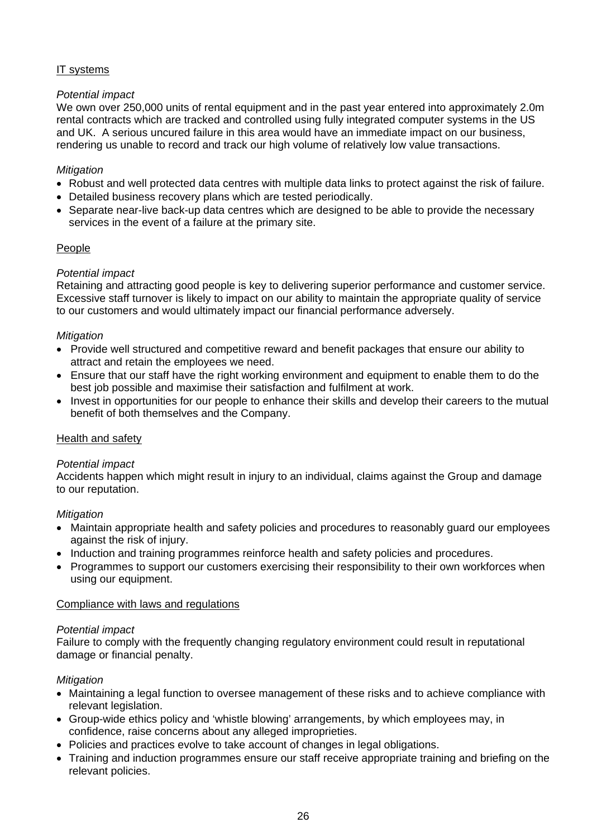# IT systems

# *Potential impact*

We own over 250,000 units of rental equipment and in the past year entered into approximately 2.0m rental contracts which are tracked and controlled using fully integrated computer systems in the US and UK. A serious uncured failure in this area would have an immediate impact on our business, rendering us unable to record and track our high volume of relatively low value transactions.

# *Mitigation*

- Robust and well protected data centres with multiple data links to protect against the risk of failure.
- Detailed business recovery plans which are tested periodically.
- Separate near-live back-up data centres which are designed to be able to provide the necessary services in the event of a failure at the primary site.

# People

### *Potential impact*

Retaining and attracting good people is key to delivering superior performance and customer service. Excessive staff turnover is likely to impact on our ability to maintain the appropriate quality of service to our customers and would ultimately impact our financial performance adversely.

### *Mitigation*

- Provide well structured and competitive reward and benefit packages that ensure our ability to attract and retain the employees we need.
- Ensure that our staff have the right working environment and equipment to enable them to do the best job possible and maximise their satisfaction and fulfilment at work.
- Invest in opportunities for our people to enhance their skills and develop their careers to the mutual benefit of both themselves and the Company.

### Health and safety

### *Potential impact*

Accidents happen which might result in injury to an individual, claims against the Group and damage to our reputation.

### *Mitigation*

- Maintain appropriate health and safety policies and procedures to reasonably guard our employees against the risk of injury.
- Induction and training programmes reinforce health and safety policies and procedures.
- Programmes to support our customers exercising their responsibility to their own workforces when using our equipment.

### Compliance with laws and regulations

### *Potential impact*

Failure to comply with the frequently changing regulatory environment could result in reputational damage or financial penalty.

### *Mitigation*

- Maintaining a legal function to oversee management of these risks and to achieve compliance with relevant legislation.
- Group-wide ethics policy and 'whistle blowing' arrangements, by which employees may, in confidence, raise concerns about any alleged improprieties.
- Policies and practices evolve to take account of changes in legal obligations.
- Training and induction programmes ensure our staff receive appropriate training and briefing on the relevant policies.